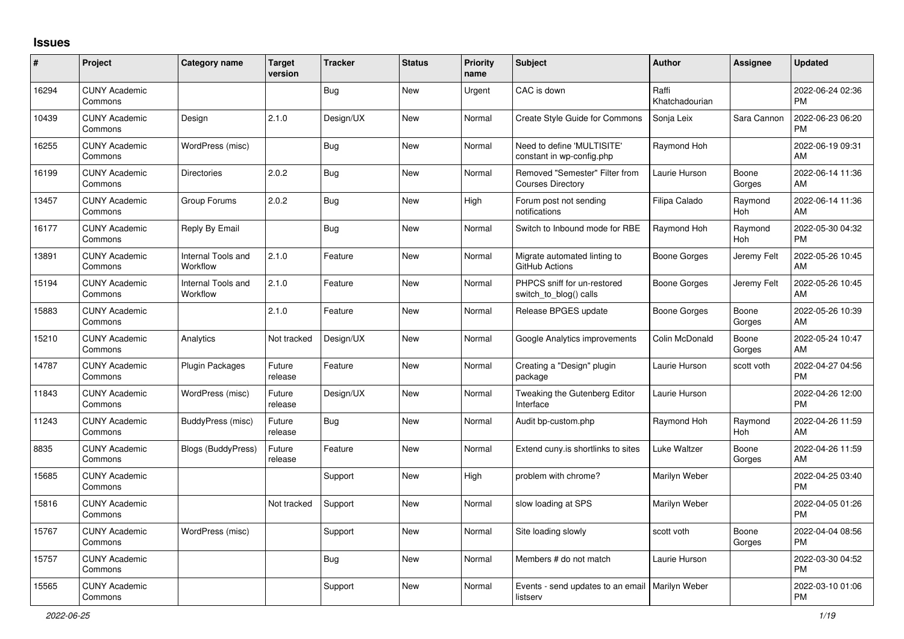## **Issues**

| #     | Project                         | <b>Category name</b>           | <b>Target</b><br>version | <b>Tracker</b> | <b>Status</b> | <b>Priority</b><br>name | <b>Subject</b>                                                | <b>Author</b>           | <b>Assignee</b> | <b>Updated</b>                |
|-------|---------------------------------|--------------------------------|--------------------------|----------------|---------------|-------------------------|---------------------------------------------------------------|-------------------------|-----------------|-------------------------------|
| 16294 | <b>CUNY Academic</b><br>Commons |                                |                          | <b>Bug</b>     | <b>New</b>    | Urgent                  | CAC is down                                                   | Raffi<br>Khatchadourian |                 | 2022-06-24 02:36<br><b>PM</b> |
| 10439 | <b>CUNY Academic</b><br>Commons | Design                         | 2.1.0                    | Design/UX      | <b>New</b>    | Normal                  | Create Style Guide for Commons                                | Sonja Leix              | Sara Cannon     | 2022-06-23 06:20<br><b>PM</b> |
| 16255 | <b>CUNY Academic</b><br>Commons | WordPress (misc)               |                          | <b>Bug</b>     | <b>New</b>    | Normal                  | Need to define 'MULTISITE'<br>constant in wp-config.php       | Raymond Hoh             |                 | 2022-06-19 09:31<br>AM        |
| 16199 | <b>CUNY Academic</b><br>Commons | <b>Directories</b>             | 2.0.2                    | Bug            | New           | Normal                  | Removed "Semester" Filter from<br><b>Courses Directory</b>    | Laurie Hurson           | Boone<br>Gorges | 2022-06-14 11:36<br>AM        |
| 13457 | <b>CUNY Academic</b><br>Commons | Group Forums                   | 2.0.2                    | <b>Bug</b>     | <b>New</b>    | High                    | Forum post not sending<br>notifications                       | Filipa Calado           | Raymond<br>Hoh  | 2022-06-14 11:36<br>AM        |
| 16177 | <b>CUNY Academic</b><br>Commons | Reply By Email                 |                          | <b>Bug</b>     | New           | Normal                  | Switch to Inbound mode for RBE                                | Raymond Hoh             | Raymond<br>Hoh  | 2022-05-30 04:32<br><b>PM</b> |
| 13891 | <b>CUNY Academic</b><br>Commons | Internal Tools and<br>Workflow | 2.1.0                    | Feature        | <b>New</b>    | Normal                  | Migrate automated linting to<br>GitHub Actions                | <b>Boone Gorges</b>     | Jeremy Felt     | 2022-05-26 10:45<br>AM        |
| 15194 | <b>CUNY Academic</b><br>Commons | Internal Tools and<br>Workflow | 2.1.0                    | Feature        | New           | Normal                  | PHPCS sniff for un-restored<br>switch to blog() calls         | Boone Gorges            | Jeremy Felt     | 2022-05-26 10:45<br>AM        |
| 15883 | <b>CUNY Academic</b><br>Commons |                                | 2.1.0                    | Feature        | <b>New</b>    | Normal                  | Release BPGES update                                          | Boone Gorges            | Boone<br>Gorges | 2022-05-26 10:39<br>AM        |
| 15210 | <b>CUNY Academic</b><br>Commons | Analytics                      | Not tracked              | Design/UX      | <b>New</b>    | Normal                  | Google Analytics improvements                                 | Colin McDonald          | Boone<br>Gorges | 2022-05-24 10:47<br>AM        |
| 14787 | <b>CUNY Academic</b><br>Commons | Plugin Packages                | Future<br>release        | Feature        | <b>New</b>    | Normal                  | Creating a "Design" plugin<br>package                         | Laurie Hurson           | scott voth      | 2022-04-27 04:56<br><b>PM</b> |
| 11843 | <b>CUNY Academic</b><br>Commons | WordPress (misc)               | Future<br>release        | Design/UX      | <b>New</b>    | Normal                  | Tweaking the Gutenberg Editor<br>Interface                    | Laurie Hurson           |                 | 2022-04-26 12:00<br><b>PM</b> |
| 11243 | <b>CUNY Academic</b><br>Commons | BuddyPress (misc)              | Future<br>release        | <b>Bug</b>     | <b>New</b>    | Normal                  | Audit bp-custom.php                                           | Raymond Hoh             | Raymond<br>Hoh  | 2022-04-26 11:59<br>AM        |
| 8835  | <b>CUNY Academic</b><br>Commons | <b>Blogs (BuddyPress)</b>      | Future<br>release        | Feature        | <b>New</b>    | Normal                  | Extend cuny is shortlinks to sites                            | <b>Luke Waltzer</b>     | Boone<br>Gorges | 2022-04-26 11:59<br>AM        |
| 15685 | <b>CUNY Academic</b><br>Commons |                                |                          | Support        | <b>New</b>    | High                    | problem with chrome?                                          | Marilyn Weber           |                 | 2022-04-25 03:40<br><b>PM</b> |
| 15816 | <b>CUNY Academic</b><br>Commons |                                | Not tracked              | Support        | <b>New</b>    | Normal                  | slow loading at SPS                                           | Marilyn Weber           |                 | 2022-04-05 01:26<br><b>PM</b> |
| 15767 | <b>CUNY Academic</b><br>Commons | WordPress (misc)               |                          | Support        | <b>New</b>    | Normal                  | Site loading slowly                                           | scott voth              | Boone<br>Gorges | 2022-04-04 08:56<br><b>PM</b> |
| 15757 | <b>CUNY Academic</b><br>Commons |                                |                          | <b>Bug</b>     | <b>New</b>    | Normal                  | Members # do not match                                        | Laurie Hurson           |                 | 2022-03-30 04:52<br><b>PM</b> |
| 15565 | <b>CUNY Academic</b><br>Commons |                                |                          | Support        | <b>New</b>    | Normal                  | Events - send updates to an email   Marilyn Weber<br>listserv |                         |                 | 2022-03-10 01:06<br><b>PM</b> |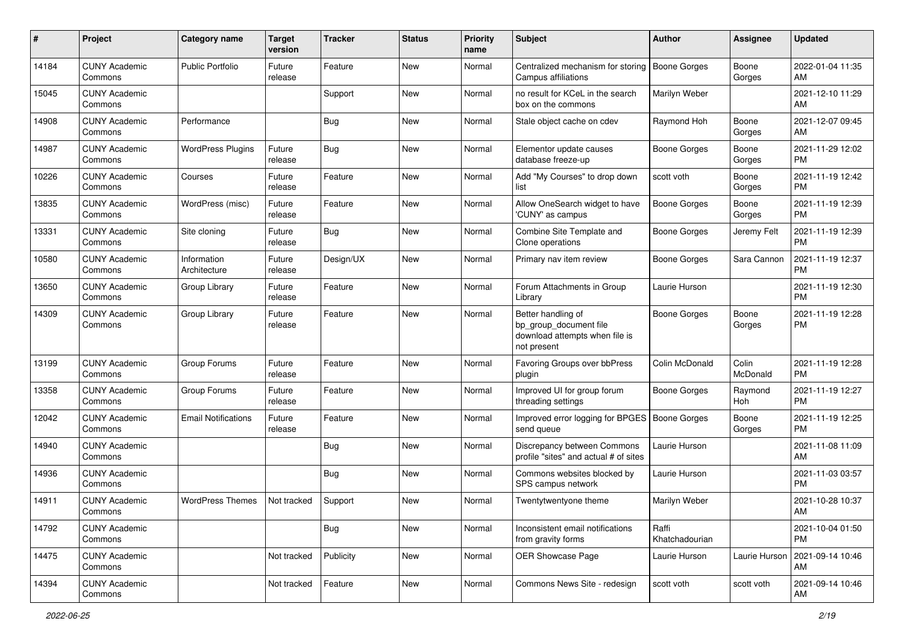| #     | Project                         | <b>Category name</b>        | <b>Target</b><br>version | <b>Tracker</b> | <b>Status</b> | <b>Priority</b><br>name | <b>Subject</b>                                                                                | Author                  | <b>Assignee</b>   | <b>Updated</b>                |
|-------|---------------------------------|-----------------------------|--------------------------|----------------|---------------|-------------------------|-----------------------------------------------------------------------------------------------|-------------------------|-------------------|-------------------------------|
| 14184 | <b>CUNY Academic</b><br>Commons | <b>Public Portfolio</b>     | Future<br>release        | Feature        | <b>New</b>    | Normal                  | Centralized mechanism for storing<br>Campus affiliations                                      | <b>Boone Gorges</b>     | Boone<br>Gorges   | 2022-01-04 11:35<br>AM        |
| 15045 | <b>CUNY Academic</b><br>Commons |                             |                          | Support        | <b>New</b>    | Normal                  | no result for KCeL in the search<br>box on the commons                                        | Marilyn Weber           |                   | 2021-12-10 11:29<br>AM        |
| 14908 | <b>CUNY Academic</b><br>Commons | Performance                 |                          | Bug            | New           | Normal                  | Stale object cache on cdev                                                                    | Raymond Hoh             | Boone<br>Gorges   | 2021-12-07 09:45<br>AM        |
| 14987 | <b>CUNY Academic</b><br>Commons | <b>WordPress Plugins</b>    | Future<br>release        | Bug            | New           | Normal                  | Elementor update causes<br>database freeze-up                                                 | Boone Gorges            | Boone<br>Gorges   | 2021-11-29 12:02<br><b>PM</b> |
| 10226 | <b>CUNY Academic</b><br>Commons | Courses                     | Future<br>release        | Feature        | <b>New</b>    | Normal                  | Add "My Courses" to drop down<br>list                                                         | scott voth              | Boone<br>Gorges   | 2021-11-19 12:42<br><b>PM</b> |
| 13835 | <b>CUNY Academic</b><br>Commons | WordPress (misc)            | Future<br>release        | Feature        | <b>New</b>    | Normal                  | Allow OneSearch widget to have<br>'CUNY' as campus                                            | <b>Boone Gorges</b>     | Boone<br>Gorges   | 2021-11-19 12:39<br><b>PM</b> |
| 13331 | <b>CUNY Academic</b><br>Commons | Site cloning                | Future<br>release        | Bug            | New           | Normal                  | Combine Site Template and<br>Clone operations                                                 | <b>Boone Gorges</b>     | Jeremy Felt       | 2021-11-19 12:39<br><b>PM</b> |
| 10580 | <b>CUNY Academic</b><br>Commons | Information<br>Architecture | Future<br>release        | Design/UX      | <b>New</b>    | Normal                  | Primary nav item review                                                                       | <b>Boone Gorges</b>     | Sara Cannon       | 2021-11-19 12:37<br>PM        |
| 13650 | <b>CUNY Academic</b><br>Commons | Group Library               | Future<br>release        | Feature        | <b>New</b>    | Normal                  | Forum Attachments in Group<br>Library                                                         | Laurie Hurson           |                   | 2021-11-19 12:30<br><b>PM</b> |
| 14309 | <b>CUNY Academic</b><br>Commons | Group Library               | Future<br>release        | Feature        | <b>New</b>    | Normal                  | Better handling of<br>bp_group_document file<br>download attempts when file is<br>not present | <b>Boone Gorges</b>     | Boone<br>Gorges   | 2021-11-19 12:28<br><b>PM</b> |
| 13199 | <b>CUNY Academic</b><br>Commons | Group Forums                | Future<br>release        | Feature        | <b>New</b>    | Normal                  | Favoring Groups over bbPress<br>plugin                                                        | Colin McDonald          | Colin<br>McDonald | 2021-11-19 12:28<br><b>PM</b> |
| 13358 | <b>CUNY Academic</b><br>Commons | Group Forums                | Future<br>release        | Feature        | New           | Normal                  | Improved UI for group forum<br>threading settings                                             | <b>Boone Gorges</b>     | Raymond<br>Hoh    | 2021-11-19 12:27<br><b>PM</b> |
| 12042 | <b>CUNY Academic</b><br>Commons | <b>Email Notifications</b>  | Future<br>release        | Feature        | New           | Normal                  | Improved error logging for BPGES<br>send queue                                                | <b>Boone Gorges</b>     | Boone<br>Gorges   | 2021-11-19 12:25<br><b>PM</b> |
| 14940 | <b>CUNY Academic</b><br>Commons |                             |                          | <b>Bug</b>     | <b>New</b>    | Normal                  | Discrepancy between Commons<br>profile "sites" and actual # of sites                          | Laurie Hurson           |                   | 2021-11-08 11:09<br>AM        |
| 14936 | <b>CUNY Academic</b><br>Commons |                             |                          | Bug            | <b>New</b>    | Normal                  | Commons websites blocked by<br>SPS campus network                                             | Laurie Hurson           |                   | 2021-11-03 03:57<br><b>PM</b> |
| 14911 | <b>CUNY Academic</b><br>Commons | <b>WordPress Themes</b>     | Not tracked              | Support        | <b>New</b>    | Normal                  | Twentytwentyone theme                                                                         | Marilyn Weber           |                   | 2021-10-28 10:37<br>AM        |
| 14792 | <b>CUNY Academic</b><br>Commons |                             |                          | <b>Bug</b>     | New           | Normal                  | Inconsistent email notifications<br>from gravity forms                                        | Raffi<br>Khatchadourian |                   | 2021-10-04 01:50<br>PM        |
| 14475 | <b>CUNY Academic</b><br>Commons |                             | Not tracked              | Publicity      | New           | Normal                  | OER Showcase Page                                                                             | Laurie Hurson           | Laurie Hurson     | 2021-09-14 10:46<br>AM        |
| 14394 | <b>CUNY Academic</b><br>Commons |                             | Not tracked              | Feature        | New           | Normal                  | Commons News Site - redesign                                                                  | scott voth              | scott voth        | 2021-09-14 10:46<br>AM        |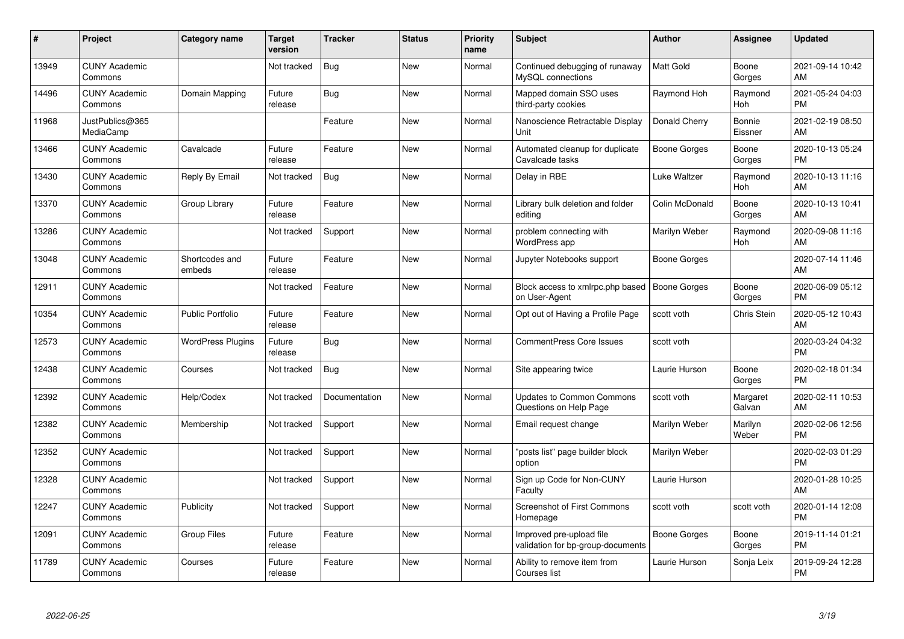| #     | Project                         | <b>Category name</b>     | <b>Target</b><br>version | <b>Tracker</b> | <b>Status</b> | <b>Priority</b><br>name | <b>Subject</b>                                                | <b>Author</b>       | <b>Assignee</b>       | <b>Updated</b>                |
|-------|---------------------------------|--------------------------|--------------------------|----------------|---------------|-------------------------|---------------------------------------------------------------|---------------------|-----------------------|-------------------------------|
| 13949 | <b>CUNY Academic</b><br>Commons |                          | Not tracked              | <b>Bug</b>     | <b>New</b>    | Normal                  | Continued debugging of runaway<br>MySQL connections           | <b>Matt Gold</b>    | Boone<br>Gorges       | 2021-09-14 10:42<br>AM        |
| 14496 | <b>CUNY Academic</b><br>Commons | Domain Mapping           | Future<br>release        | Bug            | New           | Normal                  | Mapped domain SSO uses<br>third-party cookies                 | Raymond Hoh         | Raymond<br><b>Hoh</b> | 2021-05-24 04:03<br><b>PM</b> |
| 11968 | JustPublics@365<br>MediaCamp    |                          |                          | Feature        | <b>New</b>    | Normal                  | Nanoscience Retractable Display<br>Unit                       | Donald Cherry       | Bonnie<br>Eissner     | 2021-02-19 08:50<br>AM        |
| 13466 | <b>CUNY Academic</b><br>Commons | Cavalcade                | Future<br>release        | Feature        | <b>New</b>    | Normal                  | Automated cleanup for duplicate<br>Cavalcade tasks            | Boone Gorges        | Boone<br>Gorges       | 2020-10-13 05:24<br><b>PM</b> |
| 13430 | <b>CUNY Academic</b><br>Commons | Reply By Email           | Not tracked              | Bug            | <b>New</b>    | Normal                  | Delay in RBE                                                  | <b>Luke Waltzer</b> | Raymond<br><b>Hoh</b> | 2020-10-13 11:16<br>AM        |
| 13370 | <b>CUNY Academic</b><br>Commons | Group Library            | Future<br>release        | Feature        | New           | Normal                  | Library bulk deletion and folder<br>editing                   | Colin McDonald      | Boone<br>Gorges       | 2020-10-13 10:41<br>AM        |
| 13286 | <b>CUNY Academic</b><br>Commons |                          | Not tracked              | Support        | <b>New</b>    | Normal                  | problem connecting with<br>WordPress app                      | Marilyn Weber       | Raymond<br>Hoh        | 2020-09-08 11:16<br>AM        |
| 13048 | <b>CUNY Academic</b><br>Commons | Shortcodes and<br>embeds | Future<br>release        | Feature        | <b>New</b>    | Normal                  | Jupyter Notebooks support                                     | <b>Boone Gorges</b> |                       | 2020-07-14 11:46<br>AM        |
| 12911 | <b>CUNY Academic</b><br>Commons |                          | Not tracked              | Feature        | <b>New</b>    | Normal                  | Block access to xmlrpc.php based<br>on User-Agent             | <b>Boone Gorges</b> | Boone<br>Gorges       | 2020-06-09 05:12<br><b>PM</b> |
| 10354 | <b>CUNY Academic</b><br>Commons | <b>Public Portfolio</b>  | Future<br>release        | Feature        | <b>New</b>    | Normal                  | Opt out of Having a Profile Page                              | scott voth          | Chris Stein           | 2020-05-12 10:43<br>AM        |
| 12573 | <b>CUNY Academic</b><br>Commons | <b>WordPress Plugins</b> | Future<br>release        | Bug            | <b>New</b>    | Normal                  | <b>CommentPress Core Issues</b>                               | scott voth          |                       | 2020-03-24 04:32<br><b>PM</b> |
| 12438 | <b>CUNY Academic</b><br>Commons | Courses                  | Not tracked              | <b>Bug</b>     | <b>New</b>    | Normal                  | Site appearing twice                                          | Laurie Hurson       | Boone<br>Gorges       | 2020-02-18 01:34<br><b>PM</b> |
| 12392 | <b>CUNY Academic</b><br>Commons | Help/Codex               | Not tracked              | Documentation  | New           | Normal                  | <b>Updates to Common Commons</b><br>Questions on Help Page    | scott voth          | Margaret<br>Galvan    | 2020-02-11 10:53<br>AM        |
| 12382 | <b>CUNY Academic</b><br>Commons | Membership               | Not tracked              | Support        | <b>New</b>    | Normal                  | Email request change                                          | Marilyn Weber       | Marilyn<br>Weber      | 2020-02-06 12:56<br><b>PM</b> |
| 12352 | <b>CUNY Academic</b><br>Commons |                          | Not tracked              | Support        | New           | Normal                  | "posts list" page builder block<br>option                     | Marilyn Weber       |                       | 2020-02-03 01:29<br><b>PM</b> |
| 12328 | <b>CUNY Academic</b><br>Commons |                          | Not tracked              | Support        | <b>New</b>    | Normal                  | Sign up Code for Non-CUNY<br>Faculty                          | Laurie Hurson       |                       | 2020-01-28 10:25<br>AM        |
| 12247 | <b>CUNY Academic</b><br>Commons | Publicity                | Not tracked              | Support        | New           | Normal                  | <b>Screenshot of First Commons</b><br>Homepage                | scott voth          | scott voth            | 2020-01-14 12:08<br><b>PM</b> |
| 12091 | <b>CUNY Academic</b><br>Commons | <b>Group Files</b>       | Future<br>release        | Feature        | <b>New</b>    | Normal                  | Improved pre-upload file<br>validation for bp-group-documents | <b>Boone Gorges</b> | Boone<br>Gorges       | 2019-11-14 01:21<br><b>PM</b> |
| 11789 | <b>CUNY Academic</b><br>Commons | Courses                  | Future<br>release        | Feature        | <b>New</b>    | Normal                  | Ability to remove item from<br>Courses list                   | Laurie Hurson       | Sonja Leix            | 2019-09-24 12:28<br>PM        |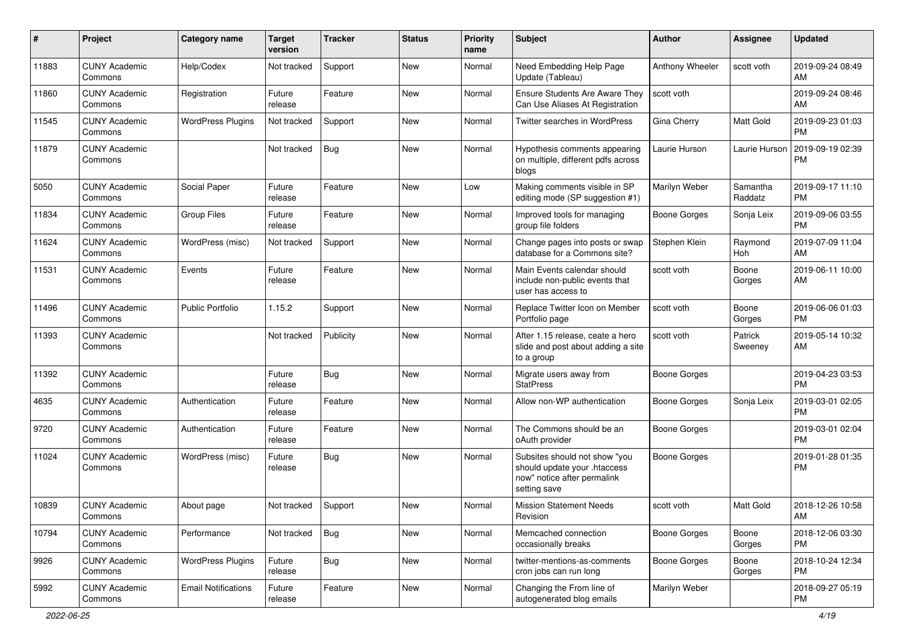| #     | Project                         | <b>Category name</b>       | Target<br>version | <b>Tracker</b> | <b>Status</b> | <b>Priority</b><br>name | <b>Subject</b>                                                                                               | Author              | <b>Assignee</b>     | <b>Updated</b>                |
|-------|---------------------------------|----------------------------|-------------------|----------------|---------------|-------------------------|--------------------------------------------------------------------------------------------------------------|---------------------|---------------------|-------------------------------|
| 11883 | <b>CUNY Academic</b><br>Commons | Help/Codex                 | Not tracked       | Support        | <b>New</b>    | Normal                  | Need Embedding Help Page<br>Update (Tableau)                                                                 | Anthony Wheeler     | scott voth          | 2019-09-24 08:49<br>AM        |
| 11860 | <b>CUNY Academic</b><br>Commons | Registration               | Future<br>release | Feature        | New           | Normal                  | Ensure Students Are Aware They<br>Can Use Aliases At Registration                                            | scott voth          |                     | 2019-09-24 08:46<br>AM        |
| 11545 | <b>CUNY Academic</b><br>Commons | <b>WordPress Plugins</b>   | Not tracked       | Support        | New           | Normal                  | Twitter searches in WordPress                                                                                | Gina Cherry         | Matt Gold           | 2019-09-23 01:03<br><b>PM</b> |
| 11879 | <b>CUNY Academic</b><br>Commons |                            | Not tracked       | <b>Bug</b>     | <b>New</b>    | Normal                  | Hypothesis comments appearing<br>on multiple, different pdfs across<br>blogs                                 | Laurie Hurson       | Laurie Hurson       | 2019-09-19 02:39<br><b>PM</b> |
| 5050  | <b>CUNY Academic</b><br>Commons | Social Paper               | Future<br>release | Feature        | <b>New</b>    | Low                     | Making comments visible in SP<br>editing mode (SP suggestion #1)                                             | Marilyn Weber       | Samantha<br>Raddatz | 2019-09-17 11:10<br><b>PM</b> |
| 11834 | <b>CUNY Academic</b><br>Commons | Group Files                | Future<br>release | Feature        | <b>New</b>    | Normal                  | Improved tools for managing<br>group file folders                                                            | Boone Gorges        | Sonja Leix          | 2019-09-06 03:55<br>PM        |
| 11624 | <b>CUNY Academic</b><br>Commons | WordPress (misc)           | Not tracked       | Support        | New           | Normal                  | Change pages into posts or swap<br>database for a Commons site?                                              | Stephen Klein       | Raymond<br>Hoh      | 2019-07-09 11:04<br>AM        |
| 11531 | <b>CUNY Academic</b><br>Commons | Events                     | Future<br>release | Feature        | New           | Normal                  | Main Events calendar should<br>include non-public events that<br>user has access to                          | scott voth          | Boone<br>Gorges     | 2019-06-11 10:00<br>AM        |
| 11496 | <b>CUNY Academic</b><br>Commons | <b>Public Portfolio</b>    | 1.15.2            | Support        | <b>New</b>    | Normal                  | Replace Twitter Icon on Member<br>Portfolio page                                                             | scott voth          | Boone<br>Gorges     | 2019-06-06 01:03<br><b>PM</b> |
| 11393 | <b>CUNY Academic</b><br>Commons |                            | Not tracked       | Publicity      | <b>New</b>    | Normal                  | After 1.15 release, ceate a hero<br>slide and post about adding a site<br>to a group                         | scott voth          | Patrick<br>Sweeney  | 2019-05-14 10:32<br>AM        |
| 11392 | <b>CUNY Academic</b><br>Commons |                            | Future<br>release | <b>Bug</b>     | <b>New</b>    | Normal                  | Migrate users away from<br><b>StatPress</b>                                                                  | <b>Boone Gorges</b> |                     | 2019-04-23 03:53<br><b>PM</b> |
| 4635  | <b>CUNY Academic</b><br>Commons | Authentication             | Future<br>release | Feature        | <b>New</b>    | Normal                  | Allow non-WP authentication                                                                                  | <b>Boone Gorges</b> | Sonja Leix          | 2019-03-01 02:05<br><b>PM</b> |
| 9720  | <b>CUNY Academic</b><br>Commons | Authentication             | Future<br>release | Feature        | New           | Normal                  | The Commons should be an<br>oAuth provider                                                                   | <b>Boone Gorges</b> |                     | 2019-03-01 02:04<br><b>PM</b> |
| 11024 | <b>CUNY Academic</b><br>Commons | WordPress (misc)           | Future<br>release | <b>Bug</b>     | <b>New</b>    | Normal                  | Subsites should not show "you<br>should update your .htaccess<br>now" notice after permalink<br>setting save | <b>Boone Gorges</b> |                     | 2019-01-28 01:35<br><b>PM</b> |
| 10839 | <b>CUNY Academic</b><br>Commons | About page                 | Not tracked       | Support        | New           | Normal                  | <b>Mission Statement Needs</b><br>Revision                                                                   | scott voth          | Matt Gold           | 2018-12-26 10:58<br>AM        |
| 10794 | <b>CUNY Academic</b><br>Commons | Performance                | Not tracked       | Bug            | New           | Normal                  | Memcached connection<br>occasionally breaks                                                                  | <b>Boone Gorges</b> | Boone<br>Gorges     | 2018-12-06 03:30<br>PM        |
| 9926  | <b>CUNY Academic</b><br>Commons | <b>WordPress Plugins</b>   | Future<br>release | <b>Bug</b>     | New           | Normal                  | twitter-mentions-as-comments<br>cron jobs can run long                                                       | <b>Boone Gorges</b> | Boone<br>Gorges     | 2018-10-24 12:34<br><b>PM</b> |
| 5992  | <b>CUNY Academic</b><br>Commons | <b>Email Notifications</b> | Future<br>release | Feature        | New           | Normal                  | Changing the From line of<br>autogenerated blog emails                                                       | Marilyn Weber       |                     | 2018-09-27 05:19<br>PM        |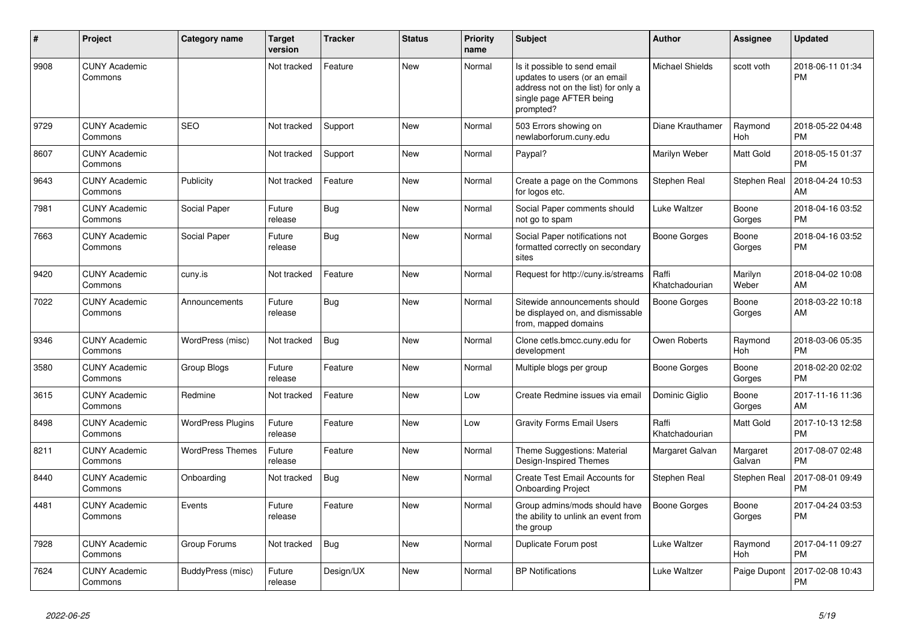| #    | <b>Project</b>                  | Category name            | <b>Target</b><br>version | Tracker    | <b>Status</b> | <b>Priority</b><br>name | <b>Subject</b>                                                                                                                               | <b>Author</b>           | Assignee              | <b>Updated</b>                |
|------|---------------------------------|--------------------------|--------------------------|------------|---------------|-------------------------|----------------------------------------------------------------------------------------------------------------------------------------------|-------------------------|-----------------------|-------------------------------|
| 9908 | <b>CUNY Academic</b><br>Commons |                          | Not tracked              | Feature    | <b>New</b>    | Normal                  | Is it possible to send email<br>updates to users (or an email<br>address not on the list) for only a<br>single page AFTER being<br>prompted? | <b>Michael Shields</b>  | scott voth            | 2018-06-11 01:34<br><b>PM</b> |
| 9729 | <b>CUNY Academic</b><br>Commons | <b>SEO</b>               | Not tracked              | Support    | <b>New</b>    | Normal                  | 503 Errors showing on<br>newlaborforum.cuny.edu                                                                                              | Diane Krauthamer        | Raymond<br>Hoh        | 2018-05-22 04:48<br><b>PM</b> |
| 8607 | <b>CUNY Academic</b><br>Commons |                          | Not tracked              | Support    | <b>New</b>    | Normal                  | Paypal?                                                                                                                                      | Marilyn Weber           | Matt Gold             | 2018-05-15 01:37<br><b>PM</b> |
| 9643 | <b>CUNY Academic</b><br>Commons | Publicity                | Not tracked              | Feature    | <b>New</b>    | Normal                  | Create a page on the Commons<br>for logos etc.                                                                                               | Stephen Real            | Stephen Real          | 2018-04-24 10:53<br>AM        |
| 7981 | <b>CUNY Academic</b><br>Commons | Social Paper             | Future<br>release        | <b>Bug</b> | <b>New</b>    | Normal                  | Social Paper comments should<br>not go to spam                                                                                               | <b>Luke Waltzer</b>     | Boone<br>Gorges       | 2018-04-16 03:52<br><b>PM</b> |
| 7663 | <b>CUNY Academic</b><br>Commons | Social Paper             | Future<br>release        | <b>Bug</b> | <b>New</b>    | Normal                  | Social Paper notifications not<br>formatted correctly on secondary<br>sites                                                                  | <b>Boone Gorges</b>     | Boone<br>Gorges       | 2018-04-16 03:52<br><b>PM</b> |
| 9420 | <b>CUNY Academic</b><br>Commons | cuny.is                  | Not tracked              | Feature    | New           | Normal                  | Request for http://cuny.is/streams                                                                                                           | Raffi<br>Khatchadourian | Marilyn<br>Weber      | 2018-04-02 10:08<br>AM        |
| 7022 | <b>CUNY Academic</b><br>Commons | Announcements            | Future<br>release        | <b>Bug</b> | <b>New</b>    | Normal                  | Sitewide announcements should<br>be displayed on, and dismissable<br>from, mapped domains                                                    | <b>Boone Gorges</b>     | Boone<br>Gorges       | 2018-03-22 10:18<br>AM        |
| 9346 | <b>CUNY Academic</b><br>Commons | WordPress (misc)         | Not tracked              | Bug        | <b>New</b>    | Normal                  | Clone cetls.bmcc.cuny.edu for<br>development                                                                                                 | Owen Roberts            | Raymond<br><b>Hoh</b> | 2018-03-06 05:35<br><b>PM</b> |
| 3580 | <b>CUNY Academic</b><br>Commons | <b>Group Blogs</b>       | Future<br>release        | Feature    | <b>New</b>    | Normal                  | Multiple blogs per group                                                                                                                     | <b>Boone Gorges</b>     | Boone<br>Gorges       | 2018-02-20 02:02<br><b>PM</b> |
| 3615 | <b>CUNY Academic</b><br>Commons | Redmine                  | Not tracked              | Feature    | <b>New</b>    | Low                     | Create Redmine issues via email                                                                                                              | Dominic Giglio          | Boone<br>Gorges       | 2017-11-16 11:36<br>AM        |
| 8498 | <b>CUNY Academic</b><br>Commons | <b>WordPress Plugins</b> | Future<br>release        | Feature    | <b>New</b>    | Low                     | <b>Gravity Forms Email Users</b>                                                                                                             | Raffi<br>Khatchadourian | Matt Gold             | 2017-10-13 12:58<br><b>PM</b> |
| 8211 | <b>CUNY Academic</b><br>Commons | <b>WordPress Themes</b>  | Future<br>release        | Feature    | <b>New</b>    | Normal                  | Theme Suggestions: Material<br>Design-Inspired Themes                                                                                        | Margaret Galvan         | Margaret<br>Galvan    | 2017-08-07 02:48<br><b>PM</b> |
| 8440 | <b>CUNY Academic</b><br>Commons | Onboarding               | Not tracked              | Bug        | <b>New</b>    | Normal                  | Create Test Email Accounts for<br><b>Onboarding Project</b>                                                                                  | Stephen Real            | Stephen Real          | 2017-08-01 09:49<br><b>PM</b> |
| 4481 | <b>CUNY Academic</b><br>Commons | Events                   | Future<br>release        | Feature    | <b>New</b>    | Normal                  | Group admins/mods should have<br>the ability to unlink an event from<br>the group                                                            | <b>Boone Gorges</b>     | Boone<br>Gorges       | 2017-04-24 03:53<br><b>PM</b> |
| 7928 | <b>CUNY Academic</b><br>Commons | Group Forums             | Not tracked              | Bug        | New           | Normal                  | Duplicate Forum post                                                                                                                         | Luke Waltzer            | Raymond<br><b>Hoh</b> | 2017-04-11 09:27<br><b>PM</b> |
| 7624 | <b>CUNY Academic</b><br>Commons | BuddyPress (misc)        | Future<br>release        | Design/UX  | <b>New</b>    | Normal                  | <b>BP</b> Notifications                                                                                                                      | <b>Luke Waltzer</b>     | Paige Dupont          | 2017-02-08 10:43<br><b>PM</b> |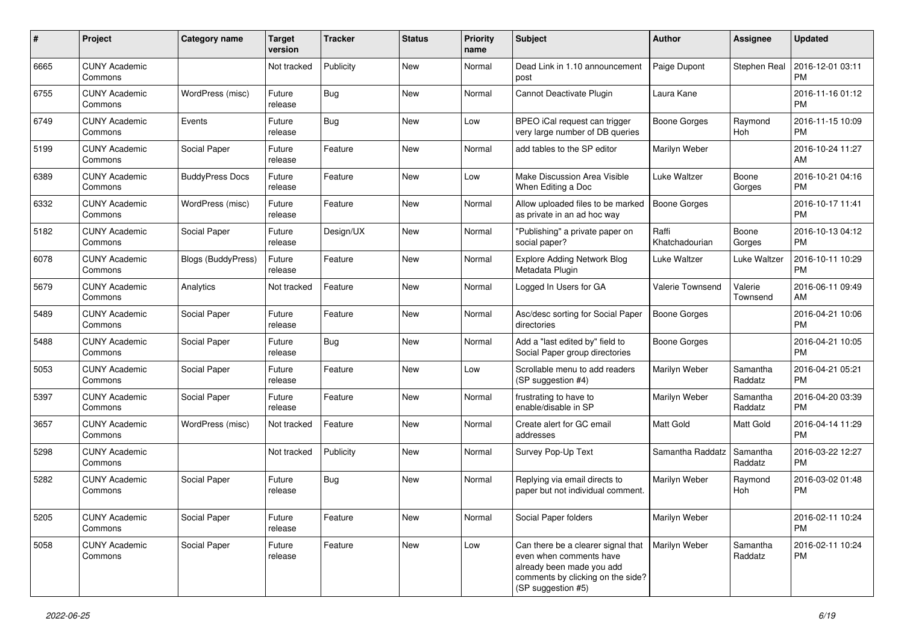| #    | Project                         | <b>Category name</b>      | <b>Target</b><br>version | <b>Tracker</b> | <b>Status</b> | <b>Priority</b><br>name | Subject                                                                                                                                               | Author                  | <b>Assignee</b>     | <b>Updated</b>                |
|------|---------------------------------|---------------------------|--------------------------|----------------|---------------|-------------------------|-------------------------------------------------------------------------------------------------------------------------------------------------------|-------------------------|---------------------|-------------------------------|
| 6665 | <b>CUNY Academic</b><br>Commons |                           | Not tracked              | Publicity      | <b>New</b>    | Normal                  | Dead Link in 1.10 announcement<br>post                                                                                                                | Paige Dupont            | Stephen Real        | 2016-12-01 03:11<br>PM        |
| 6755 | <b>CUNY Academic</b><br>Commons | WordPress (misc)          | Future<br>release        | <b>Bug</b>     | New           | Normal                  | Cannot Deactivate Plugin                                                                                                                              | Laura Kane              |                     | 2016-11-16 01:12<br><b>PM</b> |
| 6749 | <b>CUNY Academic</b><br>Commons | Events                    | Future<br>release        | Bug            | New           | Low                     | BPEO iCal request can trigger<br>very large number of DB queries                                                                                      | Boone Gorges            | Raymond<br>Hoh      | 2016-11-15 10:09<br><b>PM</b> |
| 5199 | <b>CUNY Academic</b><br>Commons | Social Paper              | Future<br>release        | Feature        | New           | Normal                  | add tables to the SP editor                                                                                                                           | Marilyn Weber           |                     | 2016-10-24 11:27<br>AM        |
| 6389 | <b>CUNY Academic</b><br>Commons | <b>BuddyPress Docs</b>    | Future<br>release        | Feature        | New           | Low                     | Make Discussion Area Visible<br>When Editing a Doc                                                                                                    | Luke Waltzer            | Boone<br>Gorges     | 2016-10-21 04:16<br><b>PM</b> |
| 6332 | <b>CUNY Academic</b><br>Commons | WordPress (misc)          | Future<br>release        | Feature        | <b>New</b>    | Normal                  | Allow uploaded files to be marked<br>as private in an ad hoc way                                                                                      | <b>Boone Gorges</b>     |                     | 2016-10-17 11:41<br><b>PM</b> |
| 5182 | <b>CUNY Academic</b><br>Commons | Social Paper              | Future<br>release        | Design/UX      | New           | Normal                  | "Publishing" a private paper on<br>social paper?                                                                                                      | Raffi<br>Khatchadourian | Boone<br>Gorges     | 2016-10-13 04:12<br><b>PM</b> |
| 6078 | <b>CUNY Academic</b><br>Commons | <b>Blogs (BuddyPress)</b> | Future<br>release        | Feature        | <b>New</b>    | Normal                  | <b>Explore Adding Network Blog</b><br>Metadata Plugin                                                                                                 | <b>Luke Waltzer</b>     | Luke Waltzer        | 2016-10-11 10:29<br><b>PM</b> |
| 5679 | <b>CUNY Academic</b><br>Commons | Analytics                 | Not tracked              | Feature        | New           | Normal                  | Logged In Users for GA                                                                                                                                | Valerie Townsend        | Valerie<br>Townsend | 2016-06-11 09:49<br>AM        |
| 5489 | <b>CUNY Academic</b><br>Commons | Social Paper              | Future<br>release        | Feature        | New           | Normal                  | Asc/desc sorting for Social Paper<br>directories                                                                                                      | <b>Boone Gorges</b>     |                     | 2016-04-21 10:06<br><b>PM</b> |
| 5488 | <b>CUNY Academic</b><br>Commons | Social Paper              | Future<br>release        | Bug            | New           | Normal                  | Add a "last edited by" field to<br>Social Paper group directories                                                                                     | <b>Boone Gorges</b>     |                     | 2016-04-21 10:05<br><b>PM</b> |
| 5053 | <b>CUNY Academic</b><br>Commons | Social Paper              | Future<br>release        | Feature        | New           | Low                     | Scrollable menu to add readers<br>(SP suggestion #4)                                                                                                  | Marilyn Weber           | Samantha<br>Raddatz | 2016-04-21 05:21<br><b>PM</b> |
| 5397 | <b>CUNY Academic</b><br>Commons | Social Paper              | Future<br>release        | Feature        | New           | Normal                  | frustrating to have to<br>enable/disable in SP                                                                                                        | Marilyn Weber           | Samantha<br>Raddatz | 2016-04-20 03:39<br><b>PM</b> |
| 3657 | <b>CUNY Academic</b><br>Commons | WordPress (misc)          | Not tracked              | Feature        | <b>New</b>    | Normal                  | Create alert for GC email<br>addresses                                                                                                                | Matt Gold               | Matt Gold           | 2016-04-14 11:29<br><b>PM</b> |
| 5298 | <b>CUNY Academic</b><br>Commons |                           | Not tracked              | Publicity      | <b>New</b>    | Normal                  | Survey Pop-Up Text                                                                                                                                    | Samantha Raddatz        | Samantha<br>Raddatz | 2016-03-22 12:27<br><b>PM</b> |
| 5282 | <b>CUNY Academic</b><br>Commons | Social Paper              | Future<br>release        | Bug            | New           | Normal                  | Replying via email directs to<br>paper but not individual comment.                                                                                    | Marilyn Weber           | Raymond<br>Hoh      | 2016-03-02 01:48<br><b>PM</b> |
| 5205 | <b>CUNY Academic</b><br>Commons | Social Paper              | Future<br>release        | Feature        | New           | Normal                  | Social Paper folders                                                                                                                                  | Marilyn Weber           |                     | 2016-02-11 10:24<br>PM        |
| 5058 | <b>CUNY Academic</b><br>Commons | Social Paper              | Future<br>release        | Feature        | New           | Low                     | Can there be a clearer signal that<br>even when comments have<br>already been made you add<br>comments by clicking on the side?<br>(SP suggestion #5) | Marilyn Weber           | Samantha<br>Raddatz | 2016-02-11 10:24<br><b>PM</b> |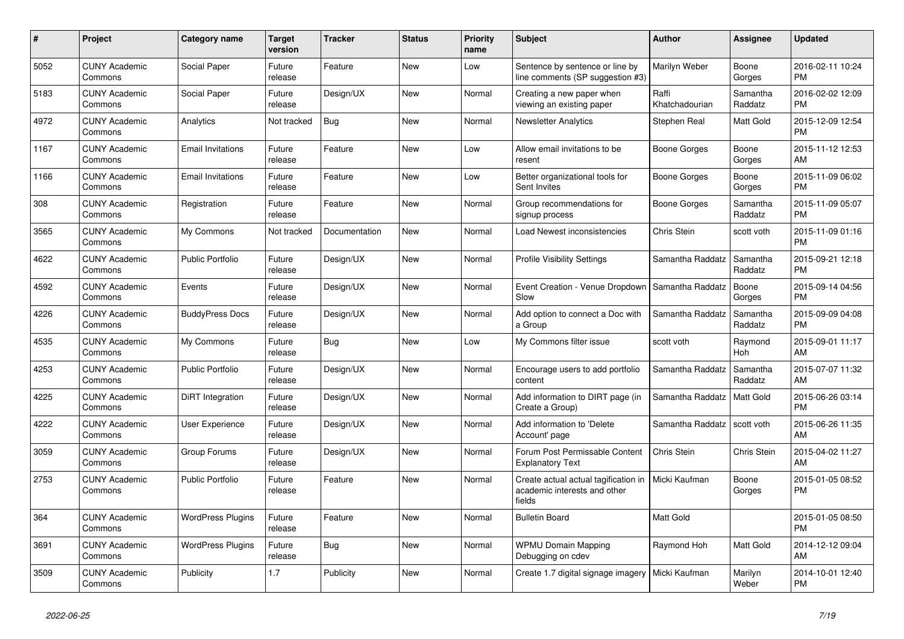| $\#$ | <b>Project</b>                  | <b>Category name</b>     | <b>Target</b><br>version | <b>Tracker</b> | <b>Status</b> | <b>Priority</b><br>name | <b>Subject</b>                                                                 | Author                  | Assignee            | <b>Updated</b>                |
|------|---------------------------------|--------------------------|--------------------------|----------------|---------------|-------------------------|--------------------------------------------------------------------------------|-------------------------|---------------------|-------------------------------|
| 5052 | <b>CUNY Academic</b><br>Commons | Social Paper             | Future<br>release        | Feature        | <b>New</b>    | Low                     | Sentence by sentence or line by<br>line comments (SP suggestion #3)            | Marilyn Weber           | Boone<br>Gorges     | 2016-02-11 10:24<br><b>PM</b> |
| 5183 | <b>CUNY Academic</b><br>Commons | Social Paper             | Future<br>release        | Design/UX      | <b>New</b>    | Normal                  | Creating a new paper when<br>viewing an existing paper                         | Raffi<br>Khatchadourian | Samantha<br>Raddatz | 2016-02-02 12:09<br><b>PM</b> |
| 4972 | <b>CUNY Academic</b><br>Commons | Analytics                | Not tracked              | Bug            | <b>New</b>    | Normal                  | <b>Newsletter Analytics</b>                                                    | Stephen Real            | Matt Gold           | 2015-12-09 12:54<br><b>PM</b> |
| 1167 | <b>CUNY Academic</b><br>Commons | <b>Email Invitations</b> | Future<br>release        | Feature        | <b>New</b>    | Low                     | Allow email invitations to be<br>resent                                        | Boone Gorges            | Boone<br>Gorges     | 2015-11-12 12:53<br>AM        |
| 1166 | <b>CUNY Academic</b><br>Commons | <b>Email Invitations</b> | Future<br>release        | Feature        | <b>New</b>    | Low                     | Better organizational tools for<br>Sent Invites                                | Boone Gorges            | Boone<br>Gorges     | 2015-11-09 06:02<br><b>PM</b> |
| 308  | <b>CUNY Academic</b><br>Commons | Registration             | Future<br>release        | Feature        | New           | Normal                  | Group recommendations for<br>signup process                                    | Boone Gorges            | Samantha<br>Raddatz | 2015-11-09 05:07<br><b>PM</b> |
| 3565 | <b>CUNY Academic</b><br>Commons | My Commons               | Not tracked              | Documentation  | <b>New</b>    | Normal                  | Load Newest inconsistencies                                                    | Chris Stein             | scott voth          | 2015-11-09 01:16<br><b>PM</b> |
| 4622 | <b>CUNY Academic</b><br>Commons | <b>Public Portfolio</b>  | Future<br>release        | Design/UX      | <b>New</b>    | Normal                  | <b>Profile Visibility Settings</b>                                             | Samantha Raddatz        | Samantha<br>Raddatz | 2015-09-21 12:18<br><b>PM</b> |
| 4592 | <b>CUNY Academic</b><br>Commons | Events                   | Future<br>release        | Design/UX      | <b>New</b>    | Normal                  | Event Creation - Venue Dropdown<br>Slow                                        | Samantha Raddatz        | Boone<br>Gorges     | 2015-09-14 04:56<br><b>PM</b> |
| 4226 | <b>CUNY Academic</b><br>Commons | <b>BuddyPress Docs</b>   | Future<br>release        | Design/UX      | <b>New</b>    | Normal                  | Add option to connect a Doc with<br>a Group                                    | Samantha Raddatz        | Samantha<br>Raddatz | 2015-09-09 04:08<br><b>PM</b> |
| 4535 | <b>CUNY Academic</b><br>Commons | My Commons               | Future<br>release        | Bug            | <b>New</b>    | Low                     | My Commons filter issue                                                        | scott voth              | Raymond<br>Hoh      | 2015-09-01 11:17<br>AM        |
| 4253 | <b>CUNY Academic</b><br>Commons | <b>Public Portfolio</b>  | Future<br>release        | Design/UX      | <b>New</b>    | Normal                  | Encourage users to add portfolio<br>content                                    | Samantha Raddatz        | Samantha<br>Raddatz | 2015-07-07 11:32<br>AM        |
| 4225 | <b>CUNY Academic</b><br>Commons | DiRT Integration         | Future<br>release        | Design/UX      | New           | Normal                  | Add information to DIRT page (in<br>Create a Group)                            | Samantha Raddatz        | <b>Matt Gold</b>    | 2015-06-26 03:14<br><b>PM</b> |
| 4222 | <b>CUNY Academic</b><br>Commons | User Experience          | Future<br>release        | Design/UX      | <b>New</b>    | Normal                  | Add information to 'Delete<br>Account' page                                    | Samantha Raddatz        | scott voth          | 2015-06-26 11:35<br>AM        |
| 3059 | <b>CUNY Academic</b><br>Commons | Group Forums             | Future<br>release        | Design/UX      | <b>New</b>    | Normal                  | Forum Post Permissable Content<br><b>Explanatory Text</b>                      | Chris Stein             | Chris Stein         | 2015-04-02 11:27<br>AM        |
| 2753 | <b>CUNY Academic</b><br>Commons | <b>Public Portfolio</b>  | Future<br>release        | Feature        | <b>New</b>    | Normal                  | Create actual actual tagification in<br>academic interests and other<br>fields | Micki Kaufman           | Boone<br>Gorges     | 2015-01-05 08:52<br><b>PM</b> |
| 364  | <b>CUNY Academic</b><br>Commons | <b>WordPress Plugins</b> | Future<br>release        | Feature        | <b>New</b>    | Normal                  | <b>Bulletin Board</b>                                                          | Matt Gold               |                     | 2015-01-05 08:50<br><b>PM</b> |
| 3691 | <b>CUNY Academic</b><br>Commons | <b>WordPress Plugins</b> | Future<br>release        | <b>Bug</b>     | New           | Normal                  | <b>WPMU Domain Mapping</b><br>Debugging on cdev                                | Raymond Hoh             | Matt Gold           | 2014-12-12 09:04<br>AM        |
| 3509 | <b>CUNY Academic</b><br>Commons | Publicity                | 1.7                      | Publicity      | <b>New</b>    | Normal                  | Create 1.7 digital signage imagery                                             | Micki Kaufman           | Marilyn<br>Weber    | 2014-10-01 12:40<br><b>PM</b> |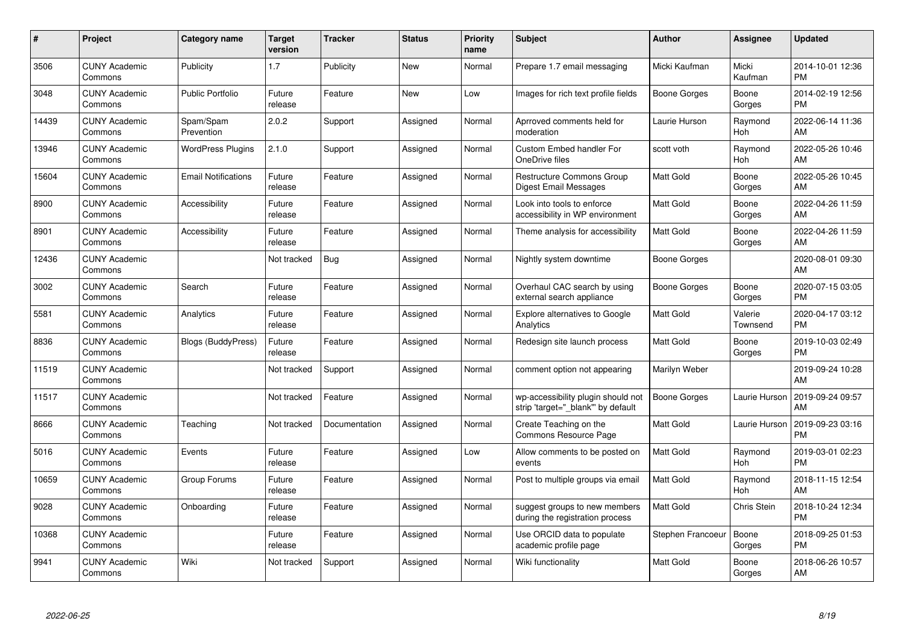| $\pmb{\#}$ | Project                         | <b>Category name</b>       | <b>Target</b><br>version | <b>Tracker</b> | <b>Status</b> | <b>Priority</b><br>name | <b>Subject</b>                                                          | Author              | <b>Assignee</b>       | <b>Updated</b>                |
|------------|---------------------------------|----------------------------|--------------------------|----------------|---------------|-------------------------|-------------------------------------------------------------------------|---------------------|-----------------------|-------------------------------|
| 3506       | <b>CUNY Academic</b><br>Commons | Publicity                  | 1.7                      | Publicity      | <b>New</b>    | Normal                  | Prepare 1.7 email messaging                                             | Micki Kaufman       | Micki<br>Kaufman      | 2014-10-01 12:36<br><b>PM</b> |
| 3048       | <b>CUNY Academic</b><br>Commons | <b>Public Portfolio</b>    | Future<br>release        | Feature        | <b>New</b>    | Low                     | Images for rich text profile fields                                     | Boone Gorges        | Boone<br>Gorges       | 2014-02-19 12:56<br><b>PM</b> |
| 14439      | <b>CUNY Academic</b><br>Commons | Spam/Spam<br>Prevention    | 2.0.2                    | Support        | Assigned      | Normal                  | Aprroved comments held for<br>moderation                                | Laurie Hurson       | Raymond<br>Hoh        | 2022-06-14 11:36<br>AM        |
| 13946      | <b>CUNY Academic</b><br>Commons | <b>WordPress Plugins</b>   | 2.1.0                    | Support        | Assigned      | Normal                  | <b>Custom Embed handler For</b><br>OneDrive files                       | scott voth          | Raymond<br>Hoh        | 2022-05-26 10:46<br>AM        |
| 15604      | <b>CUNY Academic</b><br>Commons | <b>Email Notifications</b> | Future<br>release        | Feature        | Assigned      | Normal                  | <b>Restructure Commons Group</b><br>Digest Email Messages               | <b>Matt Gold</b>    | Boone<br>Gorges       | 2022-05-26 10:45<br>AM        |
| 8900       | <b>CUNY Academic</b><br>Commons | Accessibility              | Future<br>release        | Feature        | Assigned      | Normal                  | Look into tools to enforce<br>accessibility in WP environment           | Matt Gold           | Boone<br>Gorges       | 2022-04-26 11:59<br>AM        |
| 8901       | <b>CUNY Academic</b><br>Commons | Accessibility              | Future<br>release        | Feature        | Assigned      | Normal                  | Theme analysis for accessibility                                        | <b>Matt Gold</b>    | Boone<br>Gorges       | 2022-04-26 11:59<br>AM        |
| 12436      | <b>CUNY Academic</b><br>Commons |                            | Not tracked              | <b>Bug</b>     | Assigned      | Normal                  | Nightly system downtime                                                 | Boone Gorges        |                       | 2020-08-01 09:30<br>AM        |
| 3002       | <b>CUNY Academic</b><br>Commons | Search                     | Future<br>release        | Feature        | Assigned      | Normal                  | Overhaul CAC search by using<br>external search appliance               | <b>Boone Gorges</b> | Boone<br>Gorges       | 2020-07-15 03:05<br><b>PM</b> |
| 5581       | <b>CUNY Academic</b><br>Commons | Analytics                  | Future<br>release        | Feature        | Assigned      | Normal                  | <b>Explore alternatives to Google</b><br>Analytics                      | <b>Matt Gold</b>    | Valerie<br>Townsend   | 2020-04-17 03:12<br><b>PM</b> |
| 8836       | <b>CUNY Academic</b><br>Commons | Blogs (BuddyPress)         | Future<br>release        | Feature        | Assigned      | Normal                  | Redesign site launch process                                            | <b>Matt Gold</b>    | Boone<br>Gorges       | 2019-10-03 02:49<br><b>PM</b> |
| 11519      | <b>CUNY Academic</b><br>Commons |                            | Not tracked              | Support        | Assigned      | Normal                  | comment option not appearing                                            | Marilyn Weber       |                       | 2019-09-24 10:28<br>AM        |
| 11517      | <b>CUNY Academic</b><br>Commons |                            | Not tracked              | Feature        | Assigned      | Normal                  | wp-accessibility plugin should not<br>strip 'target=" blank" by default | Boone Gorges        | Laurie Hurson         | 2019-09-24 09:57<br>AM        |
| 8666       | <b>CUNY Academic</b><br>Commons | Teaching                   | Not tracked              | Documentation  | Assigned      | Normal                  | Create Teaching on the<br>Commons Resource Page                         | <b>Matt Gold</b>    | Laurie Hurson         | 2019-09-23 03:16<br><b>PM</b> |
| 5016       | <b>CUNY Academic</b><br>Commons | Events                     | Future<br>release        | Feature        | Assigned      | Low                     | Allow comments to be posted on<br>events                                | <b>Matt Gold</b>    | Raymond<br>Hoh        | 2019-03-01 02:23<br><b>PM</b> |
| 10659      | <b>CUNY Academic</b><br>Commons | Group Forums               | Future<br>release        | Feature        | Assigned      | Normal                  | Post to multiple groups via email                                       | <b>Matt Gold</b>    | Raymond<br><b>Hoh</b> | 2018-11-15 12:54<br>AM        |
| 9028       | <b>CUNY Academic</b><br>Commons | Onboarding                 | Future<br>release        | Feature        | Assigned      | Normal                  | suggest groups to new members<br>during the registration process        | <b>Matt Gold</b>    | Chris Stein           | 2018-10-24 12:34<br><b>PM</b> |
| 10368      | <b>CUNY Academic</b><br>Commons |                            | Future<br>release        | Feature        | Assigned      | Normal                  | Use ORCID data to populate<br>academic profile page                     | Stephen Francoeur   | Boone<br>Gorges       | 2018-09-25 01:53<br><b>PM</b> |
| 9941       | <b>CUNY Academic</b><br>Commons | Wiki                       | Not tracked              | Support        | Assigned      | Normal                  | Wiki functionality                                                      | <b>Matt Gold</b>    | Boone<br>Gorges       | 2018-06-26 10:57<br>AM        |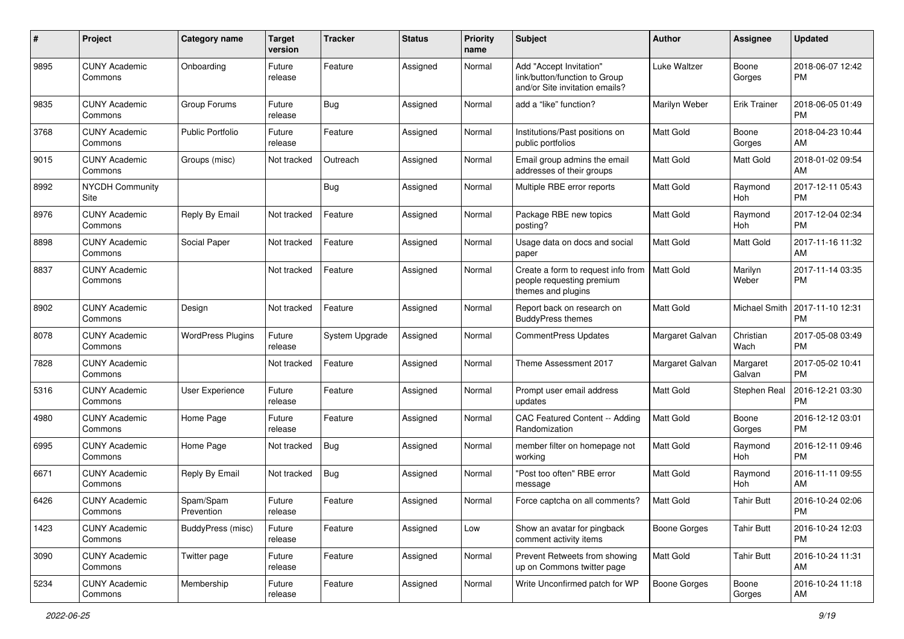| #    | Project                         | <b>Category name</b>     | <b>Target</b><br>version | <b>Tracker</b> | <b>Status</b> | <b>Priority</b><br>name | <b>Subject</b>                                                                             | Author              | Assignee           | <b>Updated</b>                |
|------|---------------------------------|--------------------------|--------------------------|----------------|---------------|-------------------------|--------------------------------------------------------------------------------------------|---------------------|--------------------|-------------------------------|
| 9895 | <b>CUNY Academic</b><br>Commons | Onboarding               | Future<br>release        | Feature        | Assigned      | Normal                  | Add "Accept Invitation"<br>link/button/function to Group<br>and/or Site invitation emails? | <b>Luke Waltzer</b> | Boone<br>Gorges    | 2018-06-07 12:42<br><b>PM</b> |
| 9835 | <b>CUNY Academic</b><br>Commons | Group Forums             | Future<br>release        | <b>Bug</b>     | Assigned      | Normal                  | add a "like" function?                                                                     | Marilyn Weber       | Erik Trainer       | 2018-06-05 01:49<br><b>PM</b> |
| 3768 | <b>CUNY Academic</b><br>Commons | <b>Public Portfolio</b>  | Future<br>release        | Feature        | Assigned      | Normal                  | Institutions/Past positions on<br>public portfolios                                        | Matt Gold           | Boone<br>Gorges    | 2018-04-23 10:44<br>AM        |
| 9015 | <b>CUNY Academic</b><br>Commons | Groups (misc)            | Not tracked              | Outreach       | Assigned      | Normal                  | Email group admins the email<br>addresses of their groups                                  | Matt Gold           | Matt Gold          | 2018-01-02 09:54<br>AM        |
| 8992 | <b>NYCDH Community</b><br>Site  |                          |                          | Bug            | Assigned      | Normal                  | Multiple RBE error reports                                                                 | <b>Matt Gold</b>    | Raymond<br>Hoh     | 2017-12-11 05:43<br><b>PM</b> |
| 8976 | <b>CUNY Academic</b><br>Commons | Reply By Email           | Not tracked              | Feature        | Assigned      | Normal                  | Package RBE new topics<br>posting?                                                         | <b>Matt Gold</b>    | Raymond<br>Hoh     | 2017-12-04 02:34<br><b>PM</b> |
| 8898 | <b>CUNY Academic</b><br>Commons | Social Paper             | Not tracked              | Feature        | Assigned      | Normal                  | Usage data on docs and social<br>paper                                                     | <b>Matt Gold</b>    | <b>Matt Gold</b>   | 2017-11-16 11:32<br>AM        |
| 8837 | <b>CUNY Academic</b><br>Commons |                          | Not tracked              | Feature        | Assigned      | Normal                  | Create a form to request info from<br>people requesting premium<br>themes and plugins      | Matt Gold           | Marilyn<br>Weber   | 2017-11-14 03:35<br><b>PM</b> |
| 8902 | <b>CUNY Academic</b><br>Commons | Design                   | Not tracked              | Feature        | Assigned      | Normal                  | Report back on research on<br><b>BuddyPress themes</b>                                     | Matt Gold           | Michael Smith      | 2017-11-10 12:31<br><b>PM</b> |
| 8078 | <b>CUNY Academic</b><br>Commons | <b>WordPress Plugins</b> | Future<br>release        | System Upgrade | Assigned      | Normal                  | CommentPress Updates                                                                       | Margaret Galvan     | Christian<br>Wach  | 2017-05-08 03:49<br><b>PM</b> |
| 7828 | <b>CUNY Academic</b><br>Commons |                          | Not tracked              | Feature        | Assigned      | Normal                  | Theme Assessment 2017                                                                      | Margaret Galvan     | Margaret<br>Galvan | 2017-05-02 10:41<br><b>PM</b> |
| 5316 | <b>CUNY Academic</b><br>Commons | User Experience          | Future<br>release        | Feature        | Assigned      | Normal                  | Prompt user email address<br>updates                                                       | Matt Gold           | Stephen Real       | 2016-12-21 03:30<br><b>PM</b> |
| 4980 | <b>CUNY Academic</b><br>Commons | Home Page                | Future<br>release        | Feature        | Assigned      | Normal                  | CAC Featured Content -- Adding<br>Randomization                                            | <b>Matt Gold</b>    | Boone<br>Gorges    | 2016-12-12 03:01<br><b>PM</b> |
| 6995 | <b>CUNY Academic</b><br>Commons | Home Page                | Not tracked              | Bug            | Assigned      | Normal                  | member filter on homepage not<br>working                                                   | <b>Matt Gold</b>    | Raymond<br>Hoh     | 2016-12-11 09:46<br><b>PM</b> |
| 6671 | <b>CUNY Academic</b><br>Commons | Reply By Email           | Not tracked              | <b>Bug</b>     | Assigned      | Normal                  | "Post too often" RBE error<br>message                                                      | Matt Gold           | Raymond<br>Hoh     | 2016-11-11 09:55<br>AM        |
| 6426 | <b>CUNY Academic</b><br>Commons | Spam/Spam<br>Prevention  | Future<br>release        | Feature        | Assigned      | Normal                  | Force captcha on all comments?                                                             | Matt Gold           | <b>Tahir Butt</b>  | 2016-10-24 02:06<br>PM        |
| 1423 | <b>CUNY Academic</b><br>Commons | BuddyPress (misc)        | Future<br>release        | Feature        | Assigned      | Low                     | Show an avatar for pingback<br>comment activity items                                      | Boone Gorges        | <b>Tahir Butt</b>  | 2016-10-24 12:03<br><b>PM</b> |
| 3090 | <b>CUNY Academic</b><br>Commons | Twitter page             | Future<br>release        | Feature        | Assigned      | Normal                  | Prevent Retweets from showing<br>up on Commons twitter page                                | Matt Gold           | <b>Tahir Butt</b>  | 2016-10-24 11:31<br>AM        |
| 5234 | <b>CUNY Academic</b><br>Commons | Membership               | Future<br>release        | Feature        | Assigned      | Normal                  | Write Unconfirmed patch for WP                                                             | <b>Boone Gorges</b> | Boone<br>Gorges    | 2016-10-24 11:18<br>AM        |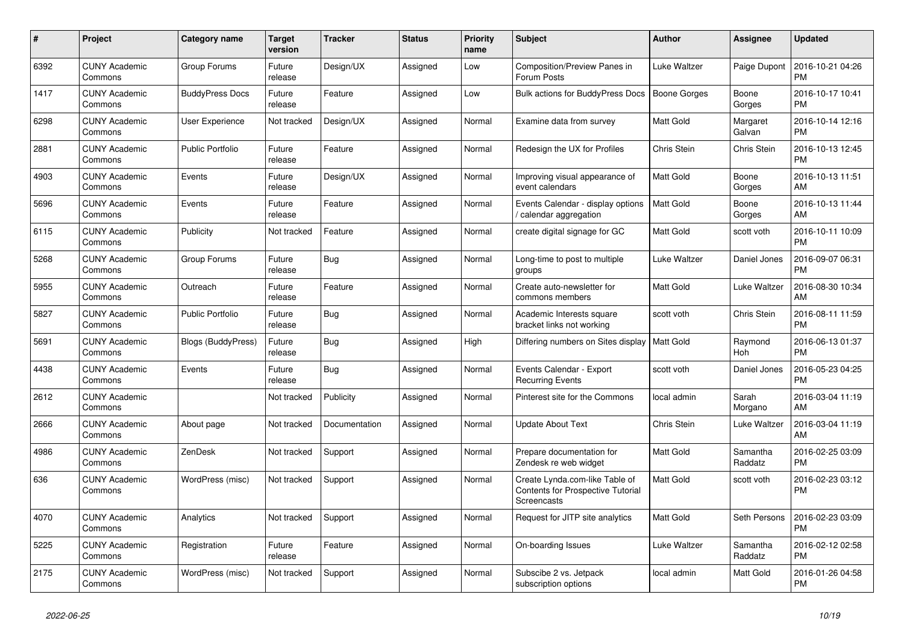| $\pmb{\#}$ | Project                         | Category name             | Target<br>version | <b>Tracker</b> | <b>Status</b> | <b>Priority</b><br>name | <b>Subject</b>                                                                     | Author              | Assignee            | Updated                       |
|------------|---------------------------------|---------------------------|-------------------|----------------|---------------|-------------------------|------------------------------------------------------------------------------------|---------------------|---------------------|-------------------------------|
| 6392       | <b>CUNY Academic</b><br>Commons | Group Forums              | Future<br>release | Design/UX      | Assigned      | Low                     | Composition/Preview Panes in<br>Forum Posts                                        | Luke Waltzer        | Paige Dupont        | 2016-10-21 04:26<br><b>PM</b> |
| 1417       | <b>CUNY Academic</b><br>Commons | <b>BuddyPress Docs</b>    | Future<br>release | Feature        | Assigned      | Low                     | <b>Bulk actions for BuddyPress Docs</b>                                            | <b>Boone Gorges</b> | Boone<br>Gorges     | 2016-10-17 10:41<br><b>PM</b> |
| 6298       | <b>CUNY Academic</b><br>Commons | User Experience           | Not tracked       | Design/UX      | Assigned      | Normal                  | Examine data from survey                                                           | Matt Gold           | Margaret<br>Galvan  | 2016-10-14 12:16<br>PM        |
| 2881       | <b>CUNY Academic</b><br>Commons | <b>Public Portfolio</b>   | Future<br>release | Feature        | Assigned      | Normal                  | Redesign the UX for Profiles                                                       | Chris Stein         | Chris Stein         | 2016-10-13 12:45<br><b>PM</b> |
| 4903       | <b>CUNY Academic</b><br>Commons | Events                    | Future<br>release | Design/UX      | Assigned      | Normal                  | Improving visual appearance of<br>event calendars                                  | Matt Gold           | Boone<br>Gorges     | 2016-10-13 11:51<br>AM        |
| 5696       | <b>CUNY Academic</b><br>Commons | Events                    | Future<br>release | Feature        | Assigned      | Normal                  | Events Calendar - display options<br>calendar aggregation                          | Matt Gold           | Boone<br>Gorges     | 2016-10-13 11:44<br>AM        |
| 6115       | <b>CUNY Academic</b><br>Commons | Publicity                 | Not tracked       | Feature        | Assigned      | Normal                  | create digital signage for GC                                                      | Matt Gold           | scott voth          | 2016-10-11 10:09<br><b>PM</b> |
| 5268       | <b>CUNY Academic</b><br>Commons | Group Forums              | Future<br>release | <b>Bug</b>     | Assigned      | Normal                  | Long-time to post to multiple<br>groups                                            | Luke Waltzer        | Daniel Jones        | 2016-09-07 06:31<br>PM        |
| 5955       | <b>CUNY Academic</b><br>Commons | Outreach                  | Future<br>release | Feature        | Assigned      | Normal                  | Create auto-newsletter for<br>commons members                                      | Matt Gold           | Luke Waltzer        | 2016-08-30 10:34<br>AM        |
| 5827       | <b>CUNY Academic</b><br>Commons | <b>Public Portfolio</b>   | Future<br>release | Bug            | Assigned      | Normal                  | Academic Interests square<br>bracket links not working                             | scott voth          | Chris Stein         | 2016-08-11 11:59<br><b>PM</b> |
| 5691       | <b>CUNY Academic</b><br>Commons | <b>Blogs (BuddyPress)</b> | Future<br>release | Bug            | Assigned      | High                    | Differing numbers on Sites display   Matt Gold                                     |                     | Raymond<br>Hoh      | 2016-06-13 01:37<br>PM        |
| 4438       | <b>CUNY Academic</b><br>Commons | Events                    | Future<br>release | Bug            | Assigned      | Normal                  | Events Calendar - Export<br><b>Recurring Events</b>                                | scott voth          | Daniel Jones        | 2016-05-23 04:25<br>PM        |
| 2612       | <b>CUNY Academic</b><br>Commons |                           | Not tracked       | Publicity      | Assigned      | Normal                  | Pinterest site for the Commons                                                     | local admin         | Sarah<br>Morgano    | 2016-03-04 11:19<br>AM        |
| 2666       | <b>CUNY Academic</b><br>Commons | About page                | Not tracked       | Documentation  | Assigned      | Normal                  | Update About Text                                                                  | Chris Stein         | Luke Waltzer        | 2016-03-04 11:19<br>AM        |
| 4986       | <b>CUNY Academic</b><br>Commons | ZenDesk                   | Not tracked       | Support        | Assigned      | Normal                  | Prepare documentation for<br>Zendesk re web widget                                 | Matt Gold           | Samantha<br>Raddatz | 2016-02-25 03:09<br><b>PM</b> |
| 636        | <b>CUNY Academic</b><br>Commons | WordPress (misc)          | Not tracked       | Support        | Assigned      | Normal                  | Create Lynda.com-like Table of<br>Contents for Prospective Tutorial<br>Screencasts | Matt Gold           | scott voth          | 2016-02-23 03:12<br><b>PM</b> |
| 4070       | <b>CUNY Academic</b><br>Commons | Analytics                 | Not tracked       | Support        | Assigned      | Normal                  | Request for JITP site analytics                                                    | Matt Gold           | Seth Persons        | 2016-02-23 03:09<br>PM        |
| 5225       | <b>CUNY Academic</b><br>Commons | Registration              | Future<br>release | Feature        | Assigned      | Normal                  | On-boarding Issues                                                                 | Luke Waltzer        | Samantha<br>Raddatz | 2016-02-12 02:58<br><b>PM</b> |
| 2175       | <b>CUNY Academic</b><br>Commons | WordPress (misc)          | Not tracked       | Support        | Assigned      | Normal                  | Subscibe 2 vs. Jetpack<br>subscription options                                     | local admin         | Matt Gold           | 2016-01-26 04:58<br><b>PM</b> |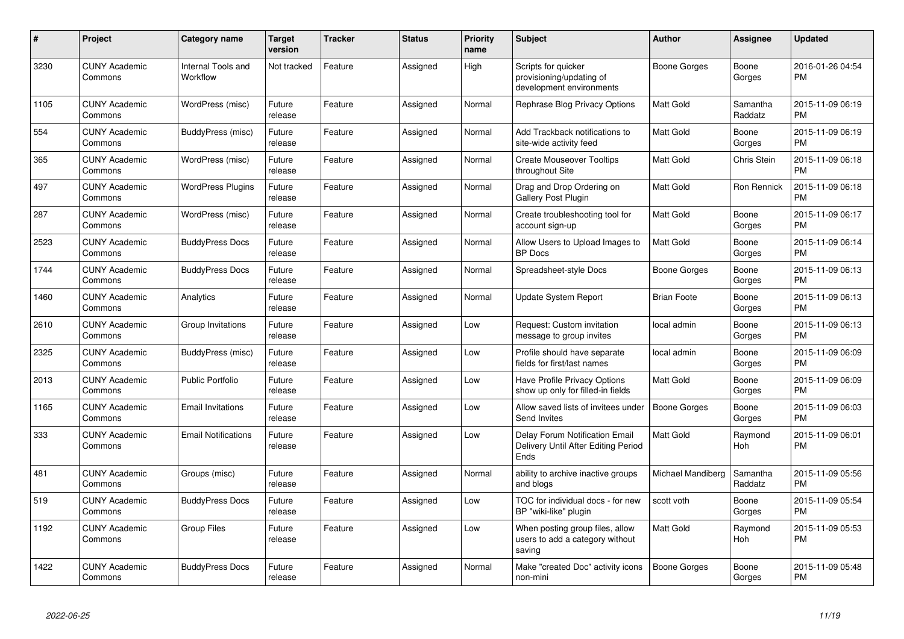| #    | Project                         | <b>Category name</b>           | Target<br>version | Tracker | <b>Status</b> | <b>Priority</b><br>name | <b>Subject</b>                                                                       | <b>Author</b>       | <b>Assignee</b>     | <b>Updated</b>                |
|------|---------------------------------|--------------------------------|-------------------|---------|---------------|-------------------------|--------------------------------------------------------------------------------------|---------------------|---------------------|-------------------------------|
| 3230 | <b>CUNY Academic</b><br>Commons | Internal Tools and<br>Workflow | Not tracked       | Feature | Assigned      | High                    | Scripts for quicker<br>provisioning/updating of<br>development environments          | Boone Gorges        | Boone<br>Gorges     | 2016-01-26 04:54<br><b>PM</b> |
| 1105 | <b>CUNY Academic</b><br>Commons | WordPress (misc)               | Future<br>release | Feature | Assigned      | Normal                  | Rephrase Blog Privacy Options                                                        | <b>Matt Gold</b>    | Samantha<br>Raddatz | 2015-11-09 06:19<br><b>PM</b> |
| 554  | <b>CUNY Academic</b><br>Commons | BuddyPress (misc)              | Future<br>release | Feature | Assigned      | Normal                  | Add Trackback notifications to<br>site-wide activity feed                            | <b>Matt Gold</b>    | Boone<br>Gorges     | 2015-11-09 06:19<br><b>PM</b> |
| 365  | <b>CUNY Academic</b><br>Commons | WordPress (misc)               | Future<br>release | Feature | Assigned      | Normal                  | <b>Create Mouseover Tooltips</b><br>throughout Site                                  | Matt Gold           | Chris Stein         | 2015-11-09 06:18<br><b>PM</b> |
| 497  | <b>CUNY Academic</b><br>Commons | <b>WordPress Plugins</b>       | Future<br>release | Feature | Assigned      | Normal                  | Drag and Drop Ordering on<br>Gallery Post Plugin                                     | Matt Gold           | Ron Rennick         | 2015-11-09 06:18<br><b>PM</b> |
| 287  | <b>CUNY Academic</b><br>Commons | WordPress (misc)               | Future<br>release | Feature | Assigned      | Normal                  | Create troubleshooting tool for<br>account sign-up                                   | <b>Matt Gold</b>    | Boone<br>Gorges     | 2015-11-09 06:17<br><b>PM</b> |
| 2523 | <b>CUNY Academic</b><br>Commons | <b>BuddyPress Docs</b>         | Future<br>release | Feature | Assigned      | Normal                  | Allow Users to Upload Images to<br><b>BP</b> Docs                                    | <b>Matt Gold</b>    | Boone<br>Gorges     | 2015-11-09 06:14<br><b>PM</b> |
| 1744 | <b>CUNY Academic</b><br>Commons | <b>BuddyPress Docs</b>         | Future<br>release | Feature | Assigned      | Normal                  | Spreadsheet-style Docs                                                               | Boone Gorges        | Boone<br>Gorges     | 2015-11-09 06:13<br><b>PM</b> |
| 1460 | <b>CUNY Academic</b><br>Commons | Analytics                      | Future<br>release | Feature | Assigned      | Normal                  | <b>Update System Report</b>                                                          | <b>Brian Foote</b>  | Boone<br>Gorges     | 2015-11-09 06:13<br><b>PM</b> |
| 2610 | <b>CUNY Academic</b><br>Commons | Group Invitations              | Future<br>release | Feature | Assigned      | Low                     | Request: Custom invitation<br>message to group invites                               | local admin         | Boone<br>Gorges     | 2015-11-09 06:13<br><b>PM</b> |
| 2325 | <b>CUNY Academic</b><br>Commons | BuddyPress (misc)              | Future<br>release | Feature | Assigned      | Low                     | Profile should have separate<br>fields for first/last names                          | local admin         | Boone<br>Gorges     | 2015-11-09 06:09<br><b>PM</b> |
| 2013 | <b>CUNY Academic</b><br>Commons | <b>Public Portfolio</b>        | Future<br>release | Feature | Assigned      | Low                     | Have Profile Privacy Options<br>show up only for filled-in fields                    | Matt Gold           | Boone<br>Gorges     | 2015-11-09 06:09<br><b>PM</b> |
| 1165 | <b>CUNY Academic</b><br>Commons | <b>Email Invitations</b>       | Future<br>release | Feature | Assigned      | Low                     | Allow saved lists of invitees under<br>Send Invites                                  | <b>Boone Gorges</b> | Boone<br>Gorges     | 2015-11-09 06:03<br><b>PM</b> |
| 333  | <b>CUNY Academic</b><br>Commons | <b>Email Notifications</b>     | Future<br>release | Feature | Assigned      | Low                     | <b>Delay Forum Notification Email</b><br>Delivery Until After Editing Period<br>Ends | <b>Matt Gold</b>    | Raymond<br>Hoh      | 2015-11-09 06:01<br><b>PM</b> |
| 481  | <b>CUNY Academic</b><br>Commons | Groups (misc)                  | Future<br>release | Feature | Assigned      | Normal                  | ability to archive inactive groups<br>and blogs                                      | Michael Mandiberg   | Samantha<br>Raddatz | 2015-11-09 05:56<br><b>PM</b> |
| 519  | <b>CUNY Academic</b><br>Commons | <b>BuddyPress Docs</b>         | Future<br>release | Feature | Assigned      | Low                     | TOC for individual docs - for new<br>BP "wiki-like" plugin                           | scott voth          | Boone<br>Gorges     | 2015-11-09 05:54<br><b>PM</b> |
| 1192 | <b>CUNY Academic</b><br>Commons | <b>Group Files</b>             | Future<br>release | Feature | Assigned      | Low                     | When posting group files, allow<br>users to add a category without<br>saving         | Matt Gold           | Raymond<br>Hoh      | 2015-11-09 05:53<br><b>PM</b> |
| 1422 | <b>CUNY Academic</b><br>Commons | <b>BuddyPress Docs</b>         | Future<br>release | Feature | Assigned      | Normal                  | Make "created Doc" activity icons<br>non-mini                                        | Boone Gorges        | Boone<br>Gorges     | 2015-11-09 05:48<br><b>PM</b> |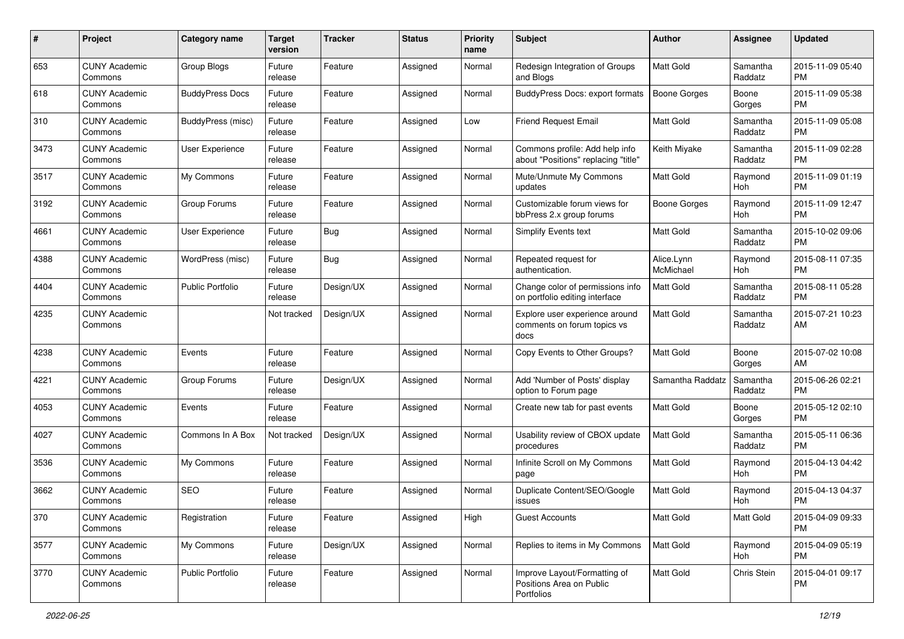| #    | Project                         | <b>Category name</b>    | <b>Target</b><br>version | <b>Tracker</b> | <b>Status</b> | <b>Priority</b><br>name | Subject                                                                | Author                  | <b>Assignee</b>     | <b>Updated</b>                |
|------|---------------------------------|-------------------------|--------------------------|----------------|---------------|-------------------------|------------------------------------------------------------------------|-------------------------|---------------------|-------------------------------|
| 653  | <b>CUNY Academic</b><br>Commons | Group Blogs             | Future<br>release        | Feature        | Assigned      | Normal                  | Redesign Integration of Groups<br>and Blogs                            | <b>Matt Gold</b>        | Samantha<br>Raddatz | 2015-11-09 05:40<br><b>PM</b> |
| 618  | <b>CUNY Academic</b><br>Commons | <b>BuddyPress Docs</b>  | Future<br>release        | Feature        | Assigned      | Normal                  | BuddyPress Docs: export formats                                        | <b>Boone Gorges</b>     | Boone<br>Gorges     | 2015-11-09 05:38<br><b>PM</b> |
| 310  | <b>CUNY Academic</b><br>Commons | BuddyPress (misc)       | Future<br>release        | Feature        | Assigned      | Low                     | <b>Friend Request Email</b>                                            | Matt Gold               | Samantha<br>Raddatz | 2015-11-09 05:08<br><b>PM</b> |
| 3473 | <b>CUNY Academic</b><br>Commons | User Experience         | Future<br>release        | Feature        | Assigned      | Normal                  | Commons profile: Add help info<br>about "Positions" replacing "title"  | Keith Miyake            | Samantha<br>Raddatz | 2015-11-09 02:28<br><b>PM</b> |
| 3517 | <b>CUNY Academic</b><br>Commons | My Commons              | Future<br>release        | Feature        | Assigned      | Normal                  | Mute/Unmute My Commons<br>updates                                      | Matt Gold               | Raymond<br>Hoh      | 2015-11-09 01:19<br><b>PM</b> |
| 3192 | <b>CUNY Academic</b><br>Commons | Group Forums            | Future<br>release        | Feature        | Assigned      | Normal                  | Customizable forum views for<br>bbPress 2.x group forums               | <b>Boone Gorges</b>     | Raymond<br>Hoh      | 2015-11-09 12:47<br><b>PM</b> |
| 4661 | <b>CUNY Academic</b><br>Commons | <b>User Experience</b>  | Future<br>release        | <b>Bug</b>     | Assigned      | Normal                  | Simplify Events text                                                   | <b>Matt Gold</b>        | Samantha<br>Raddatz | 2015-10-02 09:06<br><b>PM</b> |
| 4388 | <b>CUNY Academic</b><br>Commons | WordPress (misc)        | Future<br>release        | Bug            | Assigned      | Normal                  | Repeated request for<br>authentication.                                | Alice.Lynn<br>McMichael | Raymond<br>Hoh      | 2015-08-11 07:35<br><b>PM</b> |
| 4404 | <b>CUNY Academic</b><br>Commons | <b>Public Portfolio</b> | Future<br>release        | Design/UX      | Assigned      | Normal                  | Change color of permissions info<br>on portfolio editing interface     | Matt Gold               | Samantha<br>Raddatz | 2015-08-11 05:28<br><b>PM</b> |
| 4235 | <b>CUNY Academic</b><br>Commons |                         | Not tracked              | Design/UX      | Assigned      | Normal                  | Explore user experience around<br>comments on forum topics vs<br>docs  | Matt Gold               | Samantha<br>Raddatz | 2015-07-21 10:23<br>AM        |
| 4238 | <b>CUNY Academic</b><br>Commons | Events                  | Future<br>release        | Feature        | Assigned      | Normal                  | Copy Events to Other Groups?                                           | <b>Matt Gold</b>        | Boone<br>Gorges     | 2015-07-02 10:08<br>AM        |
| 4221 | <b>CUNY Academic</b><br>Commons | Group Forums            | Future<br>release        | Design/UX      | Assigned      | Normal                  | Add 'Number of Posts' display<br>option to Forum page                  | Samantha Raddatz        | Samantha<br>Raddatz | 2015-06-26 02:21<br><b>PM</b> |
| 4053 | <b>CUNY Academic</b><br>Commons | Events                  | Future<br>release        | Feature        | Assigned      | Normal                  | Create new tab for past events                                         | <b>Matt Gold</b>        | Boone<br>Gorges     | 2015-05-12 02:10<br><b>PM</b> |
| 4027 | <b>CUNY Academic</b><br>Commons | Commons In A Box        | Not tracked              | Design/UX      | Assigned      | Normal                  | Usability review of CBOX update<br>procedures                          | <b>Matt Gold</b>        | Samantha<br>Raddatz | 2015-05-11 06:36<br><b>PM</b> |
| 3536 | <b>CUNY Academic</b><br>Commons | My Commons              | Future<br>release        | Feature        | Assigned      | Normal                  | Infinite Scroll on My Commons<br>page                                  | <b>Matt Gold</b>        | Raymond<br>Hoh      | 2015-04-13 04:42<br><b>PM</b> |
| 3662 | <b>CUNY Academic</b><br>Commons | <b>SEO</b>              | Future<br>release        | Feature        | Assigned      | Normal                  | Duplicate Content/SEO/Google<br>issues                                 | <b>Matt Gold</b>        | Raymond<br>Hoh      | 2015-04-13 04:37<br><b>PM</b> |
| 370  | <b>CUNY Academic</b><br>Commons | Registration            | Future<br>release        | Feature        | Assigned      | High                    | <b>Guest Accounts</b>                                                  | Matt Gold               | Matt Gold           | 2015-04-09 09:33<br>PM        |
| 3577 | <b>CUNY Academic</b><br>Commons | My Commons              | Future<br>release        | Design/UX      | Assigned      | Normal                  | Replies to items in My Commons                                         | Matt Gold               | Raymond<br>Hoh      | 2015-04-09 05:19<br>PM        |
| 3770 | <b>CUNY Academic</b><br>Commons | Public Portfolio        | Future<br>release        | Feature        | Assigned      | Normal                  | Improve Layout/Formatting of<br>Positions Area on Public<br>Portfolios | Matt Gold               | Chris Stein         | 2015-04-01 09:17<br><b>PM</b> |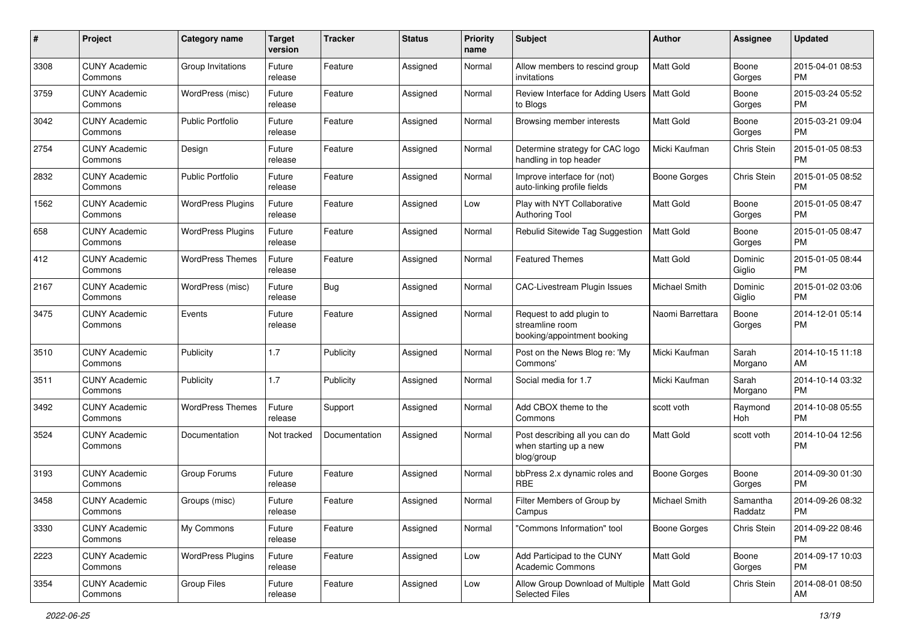| #    | Project                         | <b>Category name</b>     | <b>Target</b><br>version | <b>Tracker</b> | <b>Status</b> | <b>Priority</b><br>name | <b>Subject</b>                                                             | Author              | <b>Assignee</b>     | <b>Updated</b>                |
|------|---------------------------------|--------------------------|--------------------------|----------------|---------------|-------------------------|----------------------------------------------------------------------------|---------------------|---------------------|-------------------------------|
| 3308 | <b>CUNY Academic</b><br>Commons | Group Invitations        | Future<br>release        | Feature        | Assigned      | Normal                  | Allow members to rescind group<br>invitations                              | <b>Matt Gold</b>    | Boone<br>Gorges     | 2015-04-01 08:53<br>PM        |
| 3759 | <b>CUNY Academic</b><br>Commons | WordPress (misc)         | Future<br>release        | Feature        | Assigned      | Normal                  | Review Interface for Adding Users   Matt Gold<br>to Blogs                  |                     | Boone<br>Gorges     | 2015-03-24 05:52<br><b>PM</b> |
| 3042 | <b>CUNY Academic</b><br>Commons | <b>Public Portfolio</b>  | Future<br>release        | Feature        | Assigned      | Normal                  | Browsing member interests                                                  | Matt Gold           | Boone<br>Gorges     | 2015-03-21 09:04<br>PM        |
| 2754 | <b>CUNY Academic</b><br>Commons | Design                   | Future<br>release        | Feature        | Assigned      | Normal                  | Determine strategy for CAC logo<br>handling in top header                  | Micki Kaufman       | Chris Stein         | 2015-01-05 08:53<br><b>PM</b> |
| 2832 | <b>CUNY Academic</b><br>Commons | <b>Public Portfolio</b>  | Future<br>release        | Feature        | Assigned      | Normal                  | Improve interface for (not)<br>auto-linking profile fields                 | <b>Boone Gorges</b> | Chris Stein         | 2015-01-05 08:52<br><b>PM</b> |
| 1562 | <b>CUNY Academic</b><br>Commons | <b>WordPress Plugins</b> | Future<br>release        | Feature        | Assigned      | Low                     | Play with NYT Collaborative<br><b>Authoring Tool</b>                       | Matt Gold           | Boone<br>Gorges     | 2015-01-05 08:47<br>PM        |
| 658  | <b>CUNY Academic</b><br>Commons | <b>WordPress Plugins</b> | Future<br>release        | Feature        | Assigned      | Normal                  | Rebulid Sitewide Tag Suggestion                                            | Matt Gold           | Boone<br>Gorges     | 2015-01-05 08:47<br>PM        |
| 412  | <b>CUNY Academic</b><br>Commons | <b>WordPress Themes</b>  | Future<br>release        | Feature        | Assigned      | Normal                  | <b>Featured Themes</b>                                                     | <b>Matt Gold</b>    | Dominic<br>Giglio   | 2015-01-05 08:44<br>PM        |
| 2167 | <b>CUNY Academic</b><br>Commons | WordPress (misc)         | Future<br>release        | <b>Bug</b>     | Assigned      | Normal                  | CAC-Livestream Plugin Issues                                               | Michael Smith       | Dominic<br>Giglio   | 2015-01-02 03:06<br><b>PM</b> |
| 3475 | <b>CUNY Academic</b><br>Commons | Events                   | Future<br>release        | Feature        | Assigned      | Normal                  | Request to add plugin to<br>streamline room<br>booking/appointment booking | Naomi Barrettara    | Boone<br>Gorges     | 2014-12-01 05:14<br>PM        |
| 3510 | <b>CUNY Academic</b><br>Commons | Publicity                | 1.7                      | Publicity      | Assigned      | Normal                  | Post on the News Blog re: 'My<br>Commons'                                  | Micki Kaufman       | Sarah<br>Morgano    | 2014-10-15 11:18<br>AM        |
| 3511 | <b>CUNY Academic</b><br>Commons | Publicity                | 1.7                      | Publicity      | Assigned      | Normal                  | Social media for 1.7                                                       | Micki Kaufman       | Sarah<br>Morgano    | 2014-10-14 03:32<br><b>PM</b> |
| 3492 | <b>CUNY Academic</b><br>Commons | <b>WordPress Themes</b>  | Future<br>release        | Support        | Assigned      | Normal                  | Add CBOX theme to the<br>Commons                                           | scott voth          | Raymond<br>Hoh      | 2014-10-08 05:55<br><b>PM</b> |
| 3524 | <b>CUNY Academic</b><br>Commons | Documentation            | Not tracked              | Documentation  | Assigned      | Normal                  | Post describing all you can do<br>when starting up a new<br>blog/group     | <b>Matt Gold</b>    | scott voth          | 2014-10-04 12:56<br><b>PM</b> |
| 3193 | <b>CUNY Academic</b><br>Commons | Group Forums             | Future<br>release        | Feature        | Assigned      | Normal                  | bbPress 2.x dynamic roles and<br><b>RBE</b>                                | <b>Boone Gorges</b> | Boone<br>Gorges     | 2014-09-30 01:30<br><b>PM</b> |
| 3458 | <b>CUNY Academic</b><br>Commons | Groups (misc)            | Future<br>release        | Feature        | Assigned      | Normal                  | Filter Members of Group by<br>Campus                                       | Michael Smith       | Samantha<br>Raddatz | 2014-09-26 08:32<br>PM        |
| 3330 | <b>CUNY Academic</b><br>Commons | My Commons               | Future<br>release        | Feature        | Assigned      | Normal                  | "Commons Information" tool                                                 | Boone Gorges        | Chris Stein         | 2014-09-22 08:46<br>PM        |
| 2223 | <b>CUNY Academic</b><br>Commons | <b>WordPress Plugins</b> | Future<br>release        | Feature        | Assigned      | Low                     | Add Participad to the CUNY<br><b>Academic Commons</b>                      | Matt Gold           | Boone<br>Gorges     | 2014-09-17 10:03<br>PM        |
| 3354 | <b>CUNY Academic</b><br>Commons | Group Files              | Future<br>release        | Feature        | Assigned      | Low                     | Allow Group Download of Multiple   Matt Gold<br><b>Selected Files</b>      |                     | Chris Stein         | 2014-08-01 08:50<br>AM        |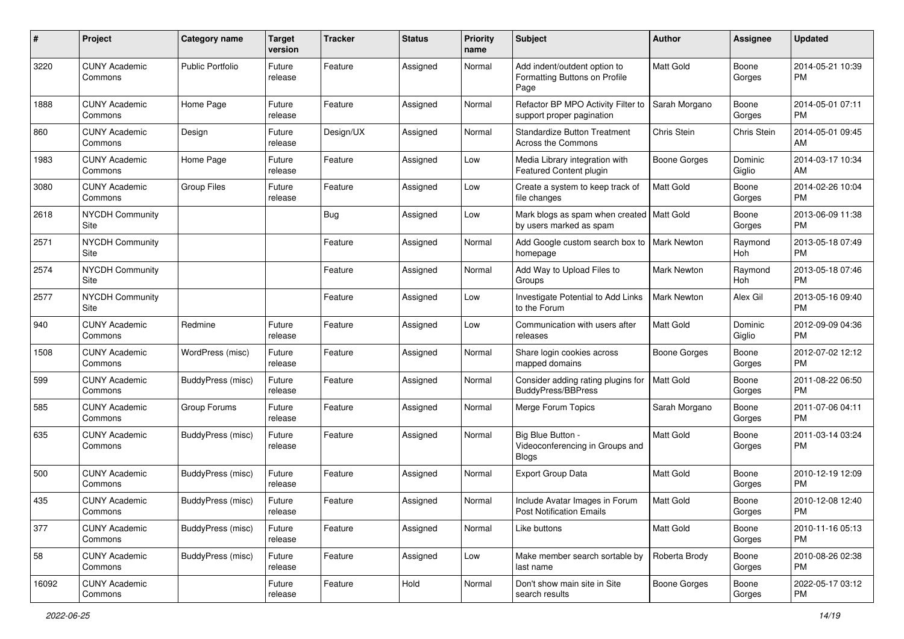| #     | Project                         | <b>Category name</b>     | <b>Target</b><br>version | <b>Tracker</b> | <b>Status</b> | <b>Priority</b><br>name | Subject                                                                | Author             | <b>Assignee</b>   | <b>Updated</b>                |
|-------|---------------------------------|--------------------------|--------------------------|----------------|---------------|-------------------------|------------------------------------------------------------------------|--------------------|-------------------|-------------------------------|
| 3220  | <b>CUNY Academic</b><br>Commons | <b>Public Portfolio</b>  | Future<br>release        | Feature        | Assigned      | Normal                  | Add indent/outdent option to<br>Formatting Buttons on Profile<br>Page  | <b>Matt Gold</b>   | Boone<br>Gorges   | 2014-05-21 10:39<br><b>PM</b> |
| 1888  | <b>CUNY Academic</b><br>Commons | Home Page                | Future<br>release        | Feature        | Assigned      | Normal                  | Refactor BP MPO Activity Filter to<br>support proper pagination        | Sarah Morgano      | Boone<br>Gorges   | 2014-05-01 07:11<br><b>PM</b> |
| 860   | <b>CUNY Academic</b><br>Commons | Design                   | Future<br>release        | Design/UX      | Assigned      | Normal                  | <b>Standardize Button Treatment</b><br>Across the Commons              | Chris Stein        | Chris Stein       | 2014-05-01 09:45<br>AM        |
| 1983  | <b>CUNY Academic</b><br>Commons | Home Page                | Future<br>release        | Feature        | Assigned      | Low                     | Media Library integration with<br>Featured Content plugin              | Boone Gorges       | Dominic<br>Giglio | 2014-03-17 10:34<br>AM        |
| 3080  | <b>CUNY Academic</b><br>Commons | <b>Group Files</b>       | Future<br>release        | Feature        | Assigned      | Low                     | Create a system to keep track of<br>file changes                       | <b>Matt Gold</b>   | Boone<br>Gorges   | 2014-02-26 10:04<br><b>PM</b> |
| 2618  | <b>NYCDH Community</b><br>Site  |                          |                          | <b>Bug</b>     | Assigned      | Low                     | Mark blogs as spam when created   Matt Gold<br>by users marked as spam |                    | Boone<br>Gorges   | 2013-06-09 11:38<br><b>PM</b> |
| 2571  | <b>NYCDH Community</b><br>Site  |                          |                          | Feature        | Assigned      | Normal                  | Add Google custom search box to   Mark Newton<br>homepage              |                    | Raymond<br>Hoh    | 2013-05-18 07:49<br><b>PM</b> |
| 2574  | <b>NYCDH Community</b><br>Site  |                          |                          | Feature        | Assigned      | Normal                  | Add Way to Upload Files to<br>Groups                                   | <b>Mark Newton</b> | Raymond<br>Hoh    | 2013-05-18 07:46<br><b>PM</b> |
| 2577  | <b>NYCDH Community</b><br>Site  |                          |                          | Feature        | Assigned      | Low                     | Investigate Potential to Add Links<br>to the Forum                     | <b>Mark Newton</b> | Alex Gil          | 2013-05-16 09:40<br><b>PM</b> |
| 940   | <b>CUNY Academic</b><br>Commons | Redmine                  | Future<br>release        | Feature        | Assigned      | Low                     | Communication with users after<br>releases                             | <b>Matt Gold</b>   | Dominic<br>Giglio | 2012-09-09 04:36<br><b>PM</b> |
| 1508  | <b>CUNY Academic</b><br>Commons | WordPress (misc)         | Future<br>release        | Feature        | Assigned      | Normal                  | Share login cookies across<br>mapped domains                           | Boone Gorges       | Boone<br>Gorges   | 2012-07-02 12:12<br><b>PM</b> |
| 599   | <b>CUNY Academic</b><br>Commons | BuddyPress (misc)        | Future<br>release        | Feature        | Assigned      | Normal                  | Consider adding rating plugins for<br><b>BuddyPress/BBPress</b>        | <b>Matt Gold</b>   | Boone<br>Gorges   | 2011-08-22 06:50<br><b>PM</b> |
| 585   | <b>CUNY Academic</b><br>Commons | Group Forums             | Future<br>release        | Feature        | Assigned      | Normal                  | Merge Forum Topics                                                     | Sarah Morgano      | Boone<br>Gorges   | 2011-07-06 04:11<br><b>PM</b> |
| 635   | <b>CUNY Academic</b><br>Commons | BuddyPress (misc)        | Future<br>release        | Feature        | Assigned      | Normal                  | Big Blue Button -<br>Videoconferencing in Groups and<br><b>Blogs</b>   | <b>Matt Gold</b>   | Boone<br>Gorges   | 2011-03-14 03:24<br><b>PM</b> |
| 500   | <b>CUNY Academic</b><br>Commons | BuddyPress (misc)        | Future<br>release        | Feature        | Assigned      | Normal                  | <b>Export Group Data</b>                                               | Matt Gold          | Boone<br>Gorges   | 2010-12-19 12:09<br><b>PM</b> |
| 435   | <b>CUNY Academic</b><br>Commons | BuddyPress (misc)        | Future<br>release        | Feature        | Assigned      | Normal                  | Include Avatar Images in Forum<br>Post Notification Emails             | <b>Matt Gold</b>   | Boone<br>Gorges   | 2010-12-08 12:40<br><b>PM</b> |
| 377   | <b>CUNY Academic</b><br>Commons | <b>BuddyPress (misc)</b> | Future<br>release        | Feature        | Assigned      | Normal                  | Like buttons                                                           | <b>Matt Gold</b>   | Boone<br>Gorges   | 2010-11-16 05:13<br><b>PM</b> |
| 58    | <b>CUNY Academic</b><br>Commons | BuddyPress (misc)        | Future<br>release        | Feature        | Assigned      | Low                     | Make member search sortable by<br>last name                            | Roberta Brody      | Boone<br>Gorges   | 2010-08-26 02:38<br><b>PM</b> |
| 16092 | <b>CUNY Academic</b><br>Commons |                          | Future<br>release        | Feature        | Hold          | Normal                  | Don't show main site in Site<br>search results                         | Boone Gorges       | Boone<br>Gorges   | 2022-05-17 03:12<br><b>PM</b> |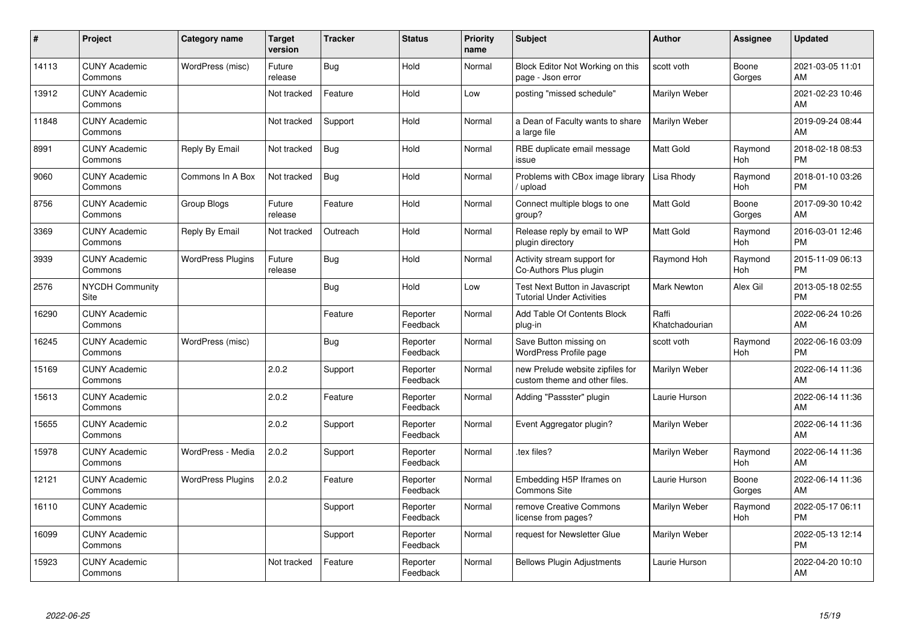| #     | Project                         | <b>Category name</b>     | Target<br>version | <b>Tracker</b> | <b>Status</b>        | <b>Priority</b><br>name | <b>Subject</b>                                                     | <b>Author</b>           | <b>Assignee</b>       | <b>Updated</b>                |
|-------|---------------------------------|--------------------------|-------------------|----------------|----------------------|-------------------------|--------------------------------------------------------------------|-------------------------|-----------------------|-------------------------------|
| 14113 | <b>CUNY Academic</b><br>Commons | WordPress (misc)         | Future<br>release | Bug            | Hold                 | Normal                  | Block Editor Not Working on this<br>page - Json error              | scott voth              | Boone<br>Gorges       | 2021-03-05 11:01<br>AM        |
| 13912 | <b>CUNY Academic</b><br>Commons |                          | Not tracked       | Feature        | Hold                 | Low                     | posting "missed schedule"                                          | Marilyn Weber           |                       | 2021-02-23 10:46<br>AM        |
| 11848 | <b>CUNY Academic</b><br>Commons |                          | Not tracked       | Support        | Hold                 | Normal                  | a Dean of Faculty wants to share<br>a large file                   | Marilyn Weber           |                       | 2019-09-24 08:44<br>AM        |
| 8991  | <b>CUNY Academic</b><br>Commons | Reply By Email           | Not tracked       | Bug            | Hold                 | Normal                  | RBE duplicate email message<br>issue                               | Matt Gold               | Raymond<br><b>Hoh</b> | 2018-02-18 08:53<br><b>PM</b> |
| 9060  | <b>CUNY Academic</b><br>Commons | Commons In A Box         | Not tracked       | <b>Bug</b>     | Hold                 | Normal                  | Problems with CBox image library<br>upload                         | Lisa Rhody              | Raymond<br><b>Hoh</b> | 2018-01-10 03:26<br><b>PM</b> |
| 8756  | <b>CUNY Academic</b><br>Commons | <b>Group Blogs</b>       | Future<br>release | Feature        | Hold                 | Normal                  | Connect multiple blogs to one<br>group?                            | Matt Gold               | Boone<br>Gorges       | 2017-09-30 10:42<br>AM        |
| 3369  | <b>CUNY Academic</b><br>Commons | Reply By Email           | Not tracked       | Outreach       | Hold                 | Normal                  | Release reply by email to WP<br>plugin directory                   | Matt Gold               | Raymond<br><b>Hoh</b> | 2016-03-01 12:46<br><b>PM</b> |
| 3939  | <b>CUNY Academic</b><br>Commons | <b>WordPress Plugins</b> | Future<br>release | Bug            | Hold                 | Normal                  | Activity stream support for<br>Co-Authors Plus plugin              | Raymond Hoh             | Raymond<br>Hoh        | 2015-11-09 06:13<br><b>PM</b> |
| 2576  | <b>NYCDH Community</b><br>Site  |                          |                   | Bug            | Hold                 | Low                     | Test Next Button in Javascript<br><b>Tutorial Under Activities</b> | <b>Mark Newton</b>      | Alex Gil              | 2013-05-18 02:55<br><b>PM</b> |
| 16290 | <b>CUNY Academic</b><br>Commons |                          |                   | Feature        | Reporter<br>Feedback | Normal                  | Add Table Of Contents Block<br>plug-in                             | Raffi<br>Khatchadourian |                       | 2022-06-24 10:26<br>AM        |
| 16245 | <b>CUNY Academic</b><br>Commons | WordPress (misc)         |                   | <b>Bug</b>     | Reporter<br>Feedback | Normal                  | Save Button missing on<br>WordPress Profile page                   | scott voth              | Raymond<br>Hoh        | 2022-06-16 03:09<br><b>PM</b> |
| 15169 | <b>CUNY Academic</b><br>Commons |                          | 2.0.2             | Support        | Reporter<br>Feedback | Normal                  | new Prelude website zipfiles for<br>custom theme and other files.  | Marilyn Weber           |                       | 2022-06-14 11:36<br>AM        |
| 15613 | <b>CUNY Academic</b><br>Commons |                          | 2.0.2             | Feature        | Reporter<br>Feedback | Normal                  | Adding "Passster" plugin                                           | Laurie Hurson           |                       | 2022-06-14 11:36<br>AM        |
| 15655 | <b>CUNY Academic</b><br>Commons |                          | 2.0.2             | Support        | Reporter<br>Feedback | Normal                  | Event Aggregator plugin?                                           | Marilyn Weber           |                       | 2022-06-14 11:36<br>AM        |
| 15978 | <b>CUNY Academic</b><br>Commons | WordPress - Media        | 2.0.2             | Support        | Reporter<br>Feedback | Normal                  | .tex files?                                                        | Marilyn Weber           | Raymond<br>Hoh        | 2022-06-14 11:36<br>AM        |
| 12121 | <b>CUNY Academic</b><br>Commons | <b>WordPress Plugins</b> | 2.0.2             | Feature        | Reporter<br>Feedback | Normal                  | Embedding H5P Iframes on<br><b>Commons Site</b>                    | Laurie Hurson           | Boone<br>Gorges       | 2022-06-14 11:36<br>AM        |
| 16110 | <b>CUNY Academic</b><br>Commons |                          |                   | Support        | Reporter<br>Feedback | Normal                  | remove Creative Commons<br>license from pages?                     | Marilyn Weber           | Raymond<br>Hoh        | 2022-05-17 06:11<br><b>PM</b> |
| 16099 | <b>CUNY Academic</b><br>Commons |                          |                   | Support        | Reporter<br>Feedback | Normal                  | request for Newsletter Glue                                        | Marilyn Weber           |                       | 2022-05-13 12:14<br><b>PM</b> |
| 15923 | <b>CUNY Academic</b><br>Commons |                          | Not tracked       | Feature        | Reporter<br>Feedback | Normal                  | <b>Bellows Plugin Adjustments</b>                                  | Laurie Hurson           |                       | 2022-04-20 10:10<br>AM        |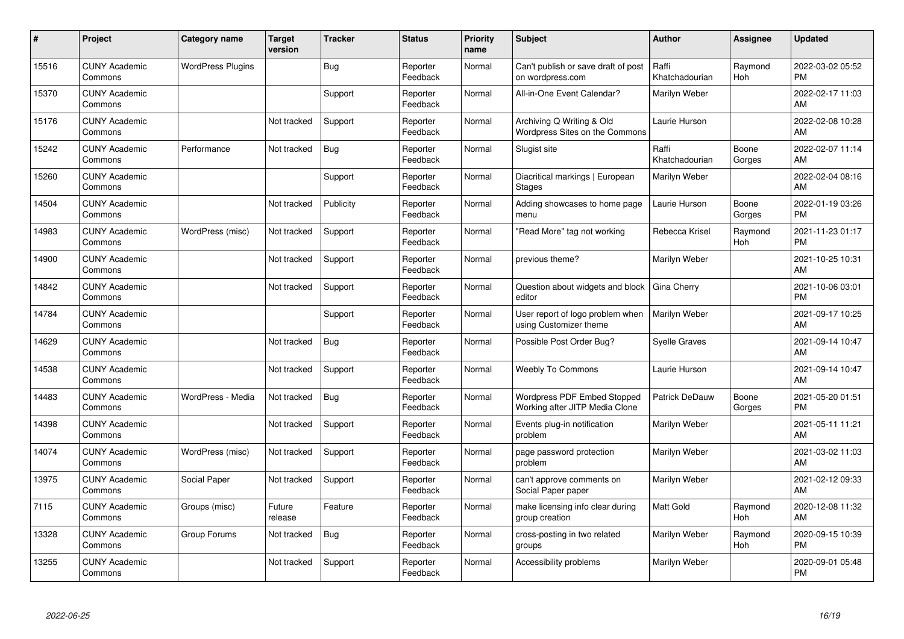| #     | Project                         | <b>Category name</b>     | <b>Target</b><br>version | <b>Tracker</b> | <b>Status</b>        | <b>Priority</b><br>name | <b>Subject</b>                                                | <b>Author</b>           | <b>Assignee</b>       | <b>Updated</b>                |
|-------|---------------------------------|--------------------------|--------------------------|----------------|----------------------|-------------------------|---------------------------------------------------------------|-------------------------|-----------------------|-------------------------------|
| 15516 | <b>CUNY Academic</b><br>Commons | <b>WordPress Plugins</b> |                          | Bug            | Reporter<br>Feedback | Normal                  | Can't publish or save draft of post<br>on wordpress.com       | Raffi<br>Khatchadourian | Raymond<br><b>Hoh</b> | 2022-03-02 05:52<br><b>PM</b> |
| 15370 | <b>CUNY Academic</b><br>Commons |                          |                          | Support        | Reporter<br>Feedback | Normal                  | All-in-One Event Calendar?                                    | Marilyn Weber           |                       | 2022-02-17 11:03<br>AM        |
| 15176 | <b>CUNY Academic</b><br>Commons |                          | Not tracked              | Support        | Reporter<br>Feedback | Normal                  | Archiving Q Writing & Old<br>Wordpress Sites on the Commons   | Laurie Hurson           |                       | 2022-02-08 10:28<br>AM        |
| 15242 | <b>CUNY Academic</b><br>Commons | Performance              | Not tracked              | Bug            | Reporter<br>Feedback | Normal                  | Slugist site                                                  | Raffi<br>Khatchadourian | Boone<br>Gorges       | 2022-02-07 11:14<br>AM        |
| 15260 | <b>CUNY Academic</b><br>Commons |                          |                          | Support        | Reporter<br>Feedback | Normal                  | Diacritical markings   European<br><b>Stages</b>              | Marilyn Weber           |                       | 2022-02-04 08:16<br>AM        |
| 14504 | <b>CUNY Academic</b><br>Commons |                          | Not tracked              | Publicity      | Reporter<br>Feedback | Normal                  | Adding showcases to home page<br>menu                         | Laurie Hurson           | Boone<br>Gorges       | 2022-01-19 03:26<br><b>PM</b> |
| 14983 | <b>CUNY Academic</b><br>Commons | WordPress (misc)         | Not tracked              | Support        | Reporter<br>Feedback | Normal                  | "Read More" tag not working                                   | Rebecca Krisel          | Raymond<br>Hoh        | 2021-11-23 01:17<br><b>PM</b> |
| 14900 | <b>CUNY Academic</b><br>Commons |                          | Not tracked              | Support        | Reporter<br>Feedback | Normal                  | previous theme?                                               | Marilyn Weber           |                       | 2021-10-25 10:31<br>AM        |
| 14842 | <b>CUNY Academic</b><br>Commons |                          | Not tracked              | Support        | Reporter<br>Feedback | Normal                  | Question about widgets and block<br>editor                    | Gina Cherry             |                       | 2021-10-06 03:01<br><b>PM</b> |
| 14784 | <b>CUNY Academic</b><br>Commons |                          |                          | Support        | Reporter<br>Feedback | Normal                  | User report of logo problem when<br>using Customizer theme    | Marilyn Weber           |                       | 2021-09-17 10:25<br>AM        |
| 14629 | <b>CUNY Academic</b><br>Commons |                          | Not tracked              | Bug            | Reporter<br>Feedback | Normal                  | Possible Post Order Bug?                                      | <b>Syelle Graves</b>    |                       | 2021-09-14 10:47<br>AM        |
| 14538 | <b>CUNY Academic</b><br>Commons |                          | Not tracked              | Support        | Reporter<br>Feedback | Normal                  | <b>Weebly To Commons</b>                                      | Laurie Hurson           |                       | 2021-09-14 10:47<br>AM        |
| 14483 | <b>CUNY Academic</b><br>Commons | WordPress - Media        | Not tracked              | <b>Bug</b>     | Reporter<br>Feedback | Normal                  | Wordpress PDF Embed Stopped<br>Working after JITP Media Clone | Patrick DeDauw          | Boone<br>Gorges       | 2021-05-20 01:51<br><b>PM</b> |
| 14398 | <b>CUNY Academic</b><br>Commons |                          | Not tracked              | Support        | Reporter<br>Feedback | Normal                  | Events plug-in notification<br>problem                        | Marilyn Weber           |                       | 2021-05-11 11:21<br>AM        |
| 14074 | <b>CUNY Academic</b><br>Commons | WordPress (misc)         | Not tracked              | Support        | Reporter<br>Feedback | Normal                  | page password protection<br>problem                           | Marilyn Weber           |                       | 2021-03-02 11:03<br>AM        |
| 13975 | <b>CUNY Academic</b><br>Commons | Social Paper             | Not tracked              | Support        | Reporter<br>Feedback | Normal                  | can't approve comments on<br>Social Paper paper               | Marilyn Weber           |                       | 2021-02-12 09:33<br>AM        |
| 7115  | <b>CUNY Academic</b><br>Commons | Groups (misc)            | Future<br>release        | Feature        | Reporter<br>Feedback | Normal                  | make licensing info clear during<br>group creation            | <b>Matt Gold</b>        | Raymond<br><b>Hoh</b> | 2020-12-08 11:32<br>AM        |
| 13328 | <b>CUNY Academic</b><br>Commons | Group Forums             | Not tracked              | Bug            | Reporter<br>Feedback | Normal                  | cross-posting in two related<br>groups                        | Marilyn Weber           | Raymond<br>Hoh        | 2020-09-15 10:39<br><b>PM</b> |
| 13255 | <b>CUNY Academic</b><br>Commons |                          | Not tracked              | Support        | Reporter<br>Feedback | Normal                  | Accessibility problems                                        | Marilyn Weber           |                       | 2020-09-01 05:48<br>PM        |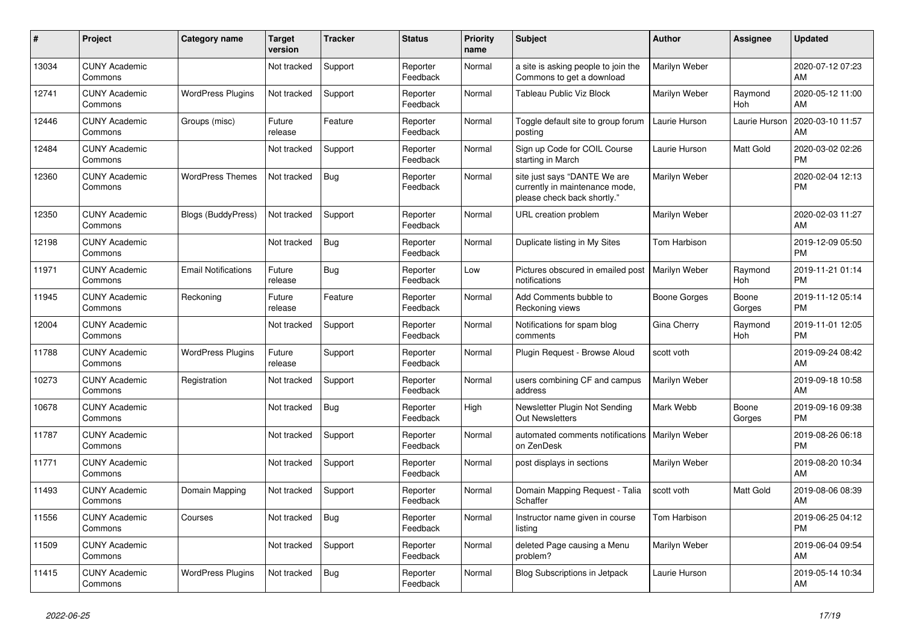| #     | <b>Project</b>                  | <b>Category name</b>       | <b>Target</b><br>version | <b>Tracker</b> | <b>Status</b>        | Priority<br>name | <b>Subject</b>                                                                                | <b>Author</b> | Assignee              | <b>Updated</b>                |
|-------|---------------------------------|----------------------------|--------------------------|----------------|----------------------|------------------|-----------------------------------------------------------------------------------------------|---------------|-----------------------|-------------------------------|
| 13034 | <b>CUNY Academic</b><br>Commons |                            | Not tracked              | Support        | Reporter<br>Feedback | Normal           | a site is asking people to join the<br>Commons to get a download                              | Marilyn Weber |                       | 2020-07-12 07:23<br>AM        |
| 12741 | <b>CUNY Academic</b><br>Commons | <b>WordPress Plugins</b>   | Not tracked              | Support        | Reporter<br>Feedback | Normal           | Tableau Public Viz Block                                                                      | Marilyn Weber | Raymond<br><b>Hoh</b> | 2020-05-12 11:00<br>AM        |
| 12446 | <b>CUNY Academic</b><br>Commons | Groups (misc)              | Future<br>release        | Feature        | Reporter<br>Feedback | Normal           | Toggle default site to group forum<br>posting                                                 | Laurie Hurson | Laurie Hurson         | 2020-03-10 11:57<br>AM        |
| 12484 | <b>CUNY Academic</b><br>Commons |                            | Not tracked              | Support        | Reporter<br>Feedback | Normal           | Sign up Code for COIL Course<br>starting in March                                             | Laurie Hurson | Matt Gold             | 2020-03-02 02:26<br><b>PM</b> |
| 12360 | <b>CUNY Academic</b><br>Commons | <b>WordPress Themes</b>    | Not tracked              | <b>Bug</b>     | Reporter<br>Feedback | Normal           | site just says "DANTE We are<br>currently in maintenance mode,<br>please check back shortly." | Marilyn Weber |                       | 2020-02-04 12:13<br><b>PM</b> |
| 12350 | <b>CUNY Academic</b><br>Commons | <b>Blogs (BuddyPress)</b>  | Not tracked              | Support        | Reporter<br>Feedback | Normal           | URL creation problem                                                                          | Marilyn Weber |                       | 2020-02-03 11:27<br>AM        |
| 12198 | <b>CUNY Academic</b><br>Commons |                            | Not tracked              | <b>Bug</b>     | Reporter<br>Feedback | Normal           | Duplicate listing in My Sites                                                                 | Tom Harbison  |                       | 2019-12-09 05:50<br><b>PM</b> |
| 11971 | <b>CUNY Academic</b><br>Commons | <b>Email Notifications</b> | Future<br>release        | <b>Bug</b>     | Reporter<br>Feedback | Low              | Pictures obscured in emailed post<br>notifications                                            | Marilyn Weber | Raymond<br><b>Hoh</b> | 2019-11-21 01:14<br><b>PM</b> |
| 11945 | <b>CUNY Academic</b><br>Commons | Reckoning                  | Future<br>release        | Feature        | Reporter<br>Feedback | Normal           | Add Comments bubble to<br>Reckoning views                                                     | Boone Gorges  | Boone<br>Gorges       | 2019-11-12 05:14<br><b>PM</b> |
| 12004 | <b>CUNY Academic</b><br>Commons |                            | Not tracked              | Support        | Reporter<br>Feedback | Normal           | Notifications for spam blog<br>comments                                                       | Gina Cherry   | Raymond<br>Hoh        | 2019-11-01 12:05<br><b>PM</b> |
| 11788 | <b>CUNY Academic</b><br>Commons | <b>WordPress Plugins</b>   | Future<br>release        | Support        | Reporter<br>Feedback | Normal           | Plugin Request - Browse Aloud                                                                 | scott voth    |                       | 2019-09-24 08:42<br>AM        |
| 10273 | <b>CUNY Academic</b><br>Commons | Registration               | Not tracked              | Support        | Reporter<br>Feedback | Normal           | users combining CF and campus<br>address                                                      | Marilyn Weber |                       | 2019-09-18 10:58<br>AM        |
| 10678 | <b>CUNY Academic</b><br>Commons |                            | Not tracked              | Bug            | Reporter<br>Feedback | High             | Newsletter Plugin Not Sending<br><b>Out Newsletters</b>                                       | Mark Webb     | Boone<br>Gorges       | 2019-09-16 09:38<br><b>PM</b> |
| 11787 | <b>CUNY Academic</b><br>Commons |                            | Not tracked              | Support        | Reporter<br>Feedback | Normal           | automated comments notifications<br>on ZenDesk                                                | Marilyn Weber |                       | 2019-08-26 06:18<br><b>PM</b> |
| 11771 | <b>CUNY Academic</b><br>Commons |                            | Not tracked              | Support        | Reporter<br>Feedback | Normal           | post displays in sections                                                                     | Marilyn Weber |                       | 2019-08-20 10:34<br>AM        |
| 11493 | <b>CUNY Academic</b><br>Commons | Domain Mapping             | Not tracked              | Support        | Reporter<br>Feedback | Normal           | Domain Mapping Request - Talia<br>Schaffer                                                    | scott voth    | <b>Matt Gold</b>      | 2019-08-06 08:39<br>AM        |
| 11556 | <b>CUNY Academic</b><br>Commons | Courses                    | Not tracked              | Bug            | Reporter<br>Feedback | Normal           | Instructor name given in course<br>listing                                                    | Tom Harbison  |                       | 2019-06-25 04:12<br><b>PM</b> |
| 11509 | <b>CUNY Academic</b><br>Commons |                            | Not tracked              | Support        | Reporter<br>Feedback | Normal           | deleted Page causing a Menu<br>problem?                                                       | Marilyn Weber |                       | 2019-06-04 09:54<br>AM        |
| 11415 | <b>CUNY Academic</b><br>Commons | <b>WordPress Plugins</b>   | Not tracked              | <b>Bug</b>     | Reporter<br>Feedback | Normal           | Blog Subscriptions in Jetpack                                                                 | Laurie Hurson |                       | 2019-05-14 10:34<br>AM        |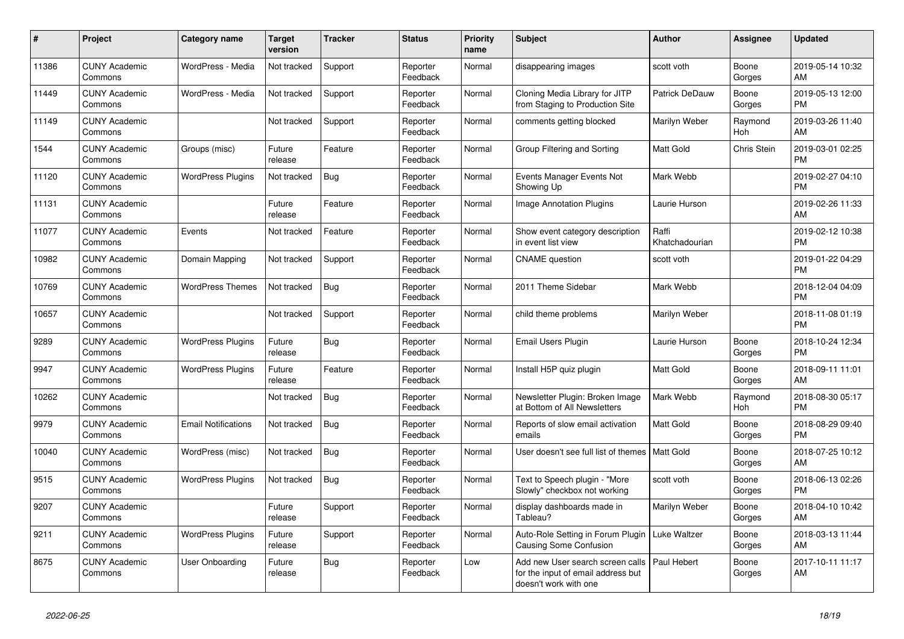| #     | <b>Project</b>                  | Category name              | <b>Target</b><br>version | <b>Tracker</b> | <b>Status</b>        | <b>Priority</b><br>name | <b>Subject</b>                                                                                  | <b>Author</b>           | Assignee        | <b>Updated</b>                |
|-------|---------------------------------|----------------------------|--------------------------|----------------|----------------------|-------------------------|-------------------------------------------------------------------------------------------------|-------------------------|-----------------|-------------------------------|
| 11386 | <b>CUNY Academic</b><br>Commons | WordPress - Media          | Not tracked              | Support        | Reporter<br>Feedback | Normal                  | disappearing images                                                                             | scott voth              | Boone<br>Gorges | 2019-05-14 10:32<br>AM        |
| 11449 | <b>CUNY Academic</b><br>Commons | WordPress - Media          | Not tracked              | Support        | Reporter<br>Feedback | Normal                  | Cloning Media Library for JITP<br>from Staging to Production Site                               | Patrick DeDauw          | Boone<br>Gorges | 2019-05-13 12:00<br><b>PM</b> |
| 11149 | <b>CUNY Academic</b><br>Commons |                            | Not tracked              | Support        | Reporter<br>Feedback | Normal                  | comments getting blocked                                                                        | Marilyn Weber           | Raymond<br>Hoh  | 2019-03-26 11:40<br>AM        |
| 1544  | <b>CUNY Academic</b><br>Commons | Groups (misc)              | Future<br>release        | Feature        | Reporter<br>Feedback | Normal                  | Group Filtering and Sorting                                                                     | Matt Gold               | Chris Stein     | 2019-03-01 02:25<br><b>PM</b> |
| 11120 | <b>CUNY Academic</b><br>Commons | <b>WordPress Plugins</b>   | Not tracked              | Bug            | Reporter<br>Feedback | Normal                  | Events Manager Events Not<br>Showing Up                                                         | Mark Webb               |                 | 2019-02-27 04:10<br><b>PM</b> |
| 11131 | <b>CUNY Academic</b><br>Commons |                            | Future<br>release        | Feature        | Reporter<br>Feedback | Normal                  | Image Annotation Plugins                                                                        | Laurie Hurson           |                 | 2019-02-26 11:33<br>AM        |
| 11077 | <b>CUNY Academic</b><br>Commons | Events                     | Not tracked              | Feature        | Reporter<br>Feedback | Normal                  | Show event category description<br>in event list view                                           | Raffi<br>Khatchadourian |                 | 2019-02-12 10:38<br><b>PM</b> |
| 10982 | <b>CUNY Academic</b><br>Commons | Domain Mapping             | Not tracked              | Support        | Reporter<br>Feedback | Normal                  | <b>CNAME</b> question                                                                           | scott voth              |                 | 2019-01-22 04:29<br><b>PM</b> |
| 10769 | <b>CUNY Academic</b><br>Commons | <b>WordPress Themes</b>    | Not tracked              | <b>Bug</b>     | Reporter<br>Feedback | Normal                  | 2011 Theme Sidebar                                                                              | Mark Webb               |                 | 2018-12-04 04:09<br><b>PM</b> |
| 10657 | <b>CUNY Academic</b><br>Commons |                            | Not tracked              | Support        | Reporter<br>Feedback | Normal                  | child theme problems                                                                            | Marilyn Weber           |                 | 2018-11-08 01:19<br><b>PM</b> |
| 9289  | <b>CUNY Academic</b><br>Commons | <b>WordPress Plugins</b>   | Future<br>release        | Bug            | Reporter<br>Feedback | Normal                  | Email Users Plugin                                                                              | Laurie Hurson           | Boone<br>Gorges | 2018-10-24 12:34<br><b>PM</b> |
| 9947  | <b>CUNY Academic</b><br>Commons | <b>WordPress Plugins</b>   | Future<br>release        | Feature        | Reporter<br>Feedback | Normal                  | Install H5P quiz plugin                                                                         | Matt Gold               | Boone<br>Gorges | 2018-09-11 11:01<br>AM        |
| 10262 | <b>CUNY Academic</b><br>Commons |                            | Not tracked              | <b>Bug</b>     | Reporter<br>Feedback | Normal                  | Newsletter Plugin: Broken Image<br>at Bottom of All Newsletters                                 | Mark Webb               | Raymond<br>Hoh  | 2018-08-30 05:17<br><b>PM</b> |
| 9979  | <b>CUNY Academic</b><br>Commons | <b>Email Notifications</b> | Not tracked              | Bug            | Reporter<br>Feedback | Normal                  | Reports of slow email activation<br>emails                                                      | <b>Matt Gold</b>        | Boone<br>Gorges | 2018-08-29 09:40<br><b>PM</b> |
| 10040 | <b>CUNY Academic</b><br>Commons | WordPress (misc)           | Not tracked              | <b>Bug</b>     | Reporter<br>Feedback | Normal                  | User doesn't see full list of themes   Matt Gold                                                |                         | Boone<br>Gorges | 2018-07-25 10:12<br>AM        |
| 9515  | <b>CUNY Academic</b><br>Commons | <b>WordPress Plugins</b>   | Not tracked              | <b>Bug</b>     | Reporter<br>Feedback | Normal                  | Text to Speech plugin - "More<br>Slowly" checkbox not working                                   | scott voth              | Boone<br>Gorges | 2018-06-13 02:26<br><b>PM</b> |
| 9207  | <b>CUNY Academic</b><br>Commons |                            | Future<br>release        | Support        | Reporter<br>Feedback | Normal                  | display dashboards made in<br>Tableau?                                                          | Marilyn Weber           | Boone<br>Gorges | 2018-04-10 10:42<br>AM        |
| 9211  | <b>CUNY Academic</b><br>Commons | <b>WordPress Plugins</b>   | Future<br>release        | Support        | Reporter<br>Feedback | Normal                  | Auto-Role Setting in Forum Plugin<br><b>Causing Some Confusion</b>                              | Luke Waltzer            | Boone<br>Gorges | 2018-03-13 11:44<br>AM        |
| 8675  | <b>CUNY Academic</b><br>Commons | User Onboarding            | Future<br>release        | <b>Bug</b>     | Reporter<br>Feedback | Low                     | Add new User search screen calls<br>for the input of email address but<br>doesn't work with one | Paul Hebert             | Boone<br>Gorges | 2017-10-11 11:17<br>AM        |